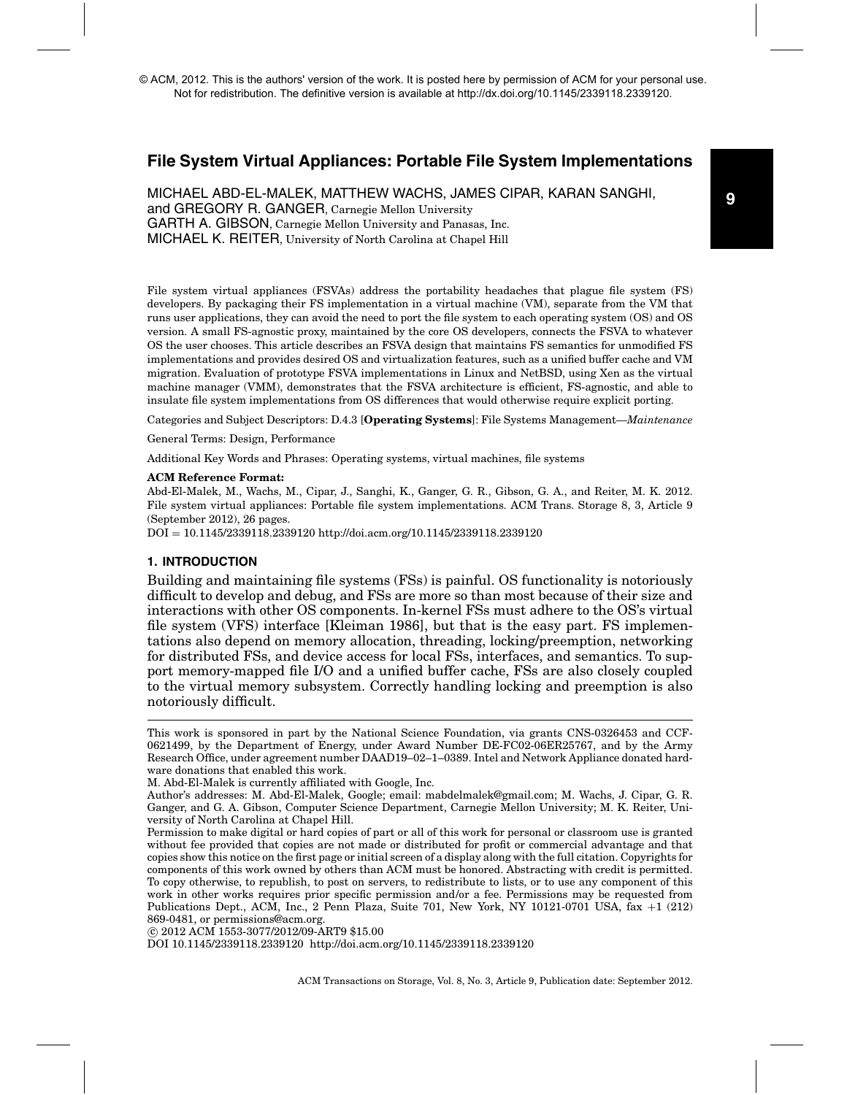MICHAEL ABD-EL-MALEK, MATTHEW WACHS, JAMES CIPAR, KARAN SANGHI, and GREGORY R. GANGER, Carnegie Mellon University GARTH A. GIBSON, Carnegie Mellon University and Panasas, Inc. MICHAEL K. REITER, University of North Carolina at Chapel Hill

File system virtual appliances (FSVAs) address the portability headaches that plague file system (FS) developers. By packaging their FS implementation in a virtual machine (VM), separate from the VM that runs user applications, they can avoid the need to port the file system to each operating system (OS) and OS version. A small FS-agnostic proxy, maintained by the core OS developers, connects the FSVA to whatever OS the user chooses. This article describes an FSVA design that maintains FS semantics for unmodified FS implementations and provides desired OS and virtualization features, such as a unified buffer cache and VM migration. Evaluation of prototype FSVA implementations in Linux and NetBSD, using Xen as the virtual machine manager (VMM), demonstrates that the FSVA architecture is efficient, FS-agnostic, and able to insulate file system implementations from OS differences that would otherwise require explicit porting.

Categories and Subject Descriptors: D.4.3 [**Operating Systems**]: File Systems Management—*Maintenance*

General Terms: Design, Performance

Additional Key Words and Phrases: Operating systems, virtual machines, file systems

### **ACM Reference Format:**

Abd-El-Malek, M., Wachs, M., Cipar, J., Sanghi, K., Ganger, G. R., Gibson, G. A., and Reiter, M. K. 2012. File system virtual appliances: Portable file system implementations. ACM Trans. Storage 8, 3, Article 9 (September 2012), 26 pages.

DOI = 10.1145/2339118.2339120 http://doi.acm.org/10.1145/2339118.2339120

# **1. INTRODUCTION**

Building and maintaining file systems (FSs) is painful. OS functionality is notoriously difficult to develop and debug, and FSs are more so than most because of their size and interactions with other OS components. In-kernel FSs must adhere to the OS's virtual file system (VFS) interface [Kleiman 1986], but that is the easy part. FS implementations also depend on memory allocation, threading, locking/preemption, networking for distributed FSs, and device access for local FSs, interfaces, and semantics. To support memory-mapped file I/O and a unified buffer cache, FSs are also closely coupled to the virtual memory subsystem. Correctly handling locking and preemption is also notoriously difficult.

This work is sponsored in part by the National Science Foundation, via grants CNS-0326453 and CCF-0621499, by the Department of Energy, under Award Number DE-FC02-06ER25767, and by the Army Research Office, under agreement number DAAD19–02–1–0389. Intel and Network Appliance donated hardware donations that enabled this work.

M. Abd-El-Malek is currently affiliated with Google, Inc.

Author's addresses: M. Abd-El-Malek, Google; email: mabdelmalek@gmail.com; M. Wachs, J. Cipar, G. R. Ganger, and G. A. Gibson, Computer Science Department, Carnegie Mellon University; M. K. Reiter, University of North Carolina at Chapel Hill.

Permission to make digital or hard copies of part or all of this work for personal or classroom use is granted without fee provided that copies are not made or distributed for profit or commercial advantage and that copies show this notice on the first page or initial screen of a display along with the full citation. Copyrights for components of this work owned by others than ACM must be honored. Abstracting with credit is permitted. To copy otherwise, to republish, to post on servers, to redistribute to lists, or to use any component of this work in other works requires prior specific permission and/or a fee. Permissions may be requested from Publications Dept., ACM, Inc., 2 Penn Plaza, Suite 701, New York, NY 10121-0701 USA, fax +1 (212) 869-0481, or permissions@acm.org.

-c 2012 ACM 1553-3077/2012/09-ART9 \$15.00

DOI 10.1145/2339118.2339120 http://doi.acm.org/10.1145/2339118.2339120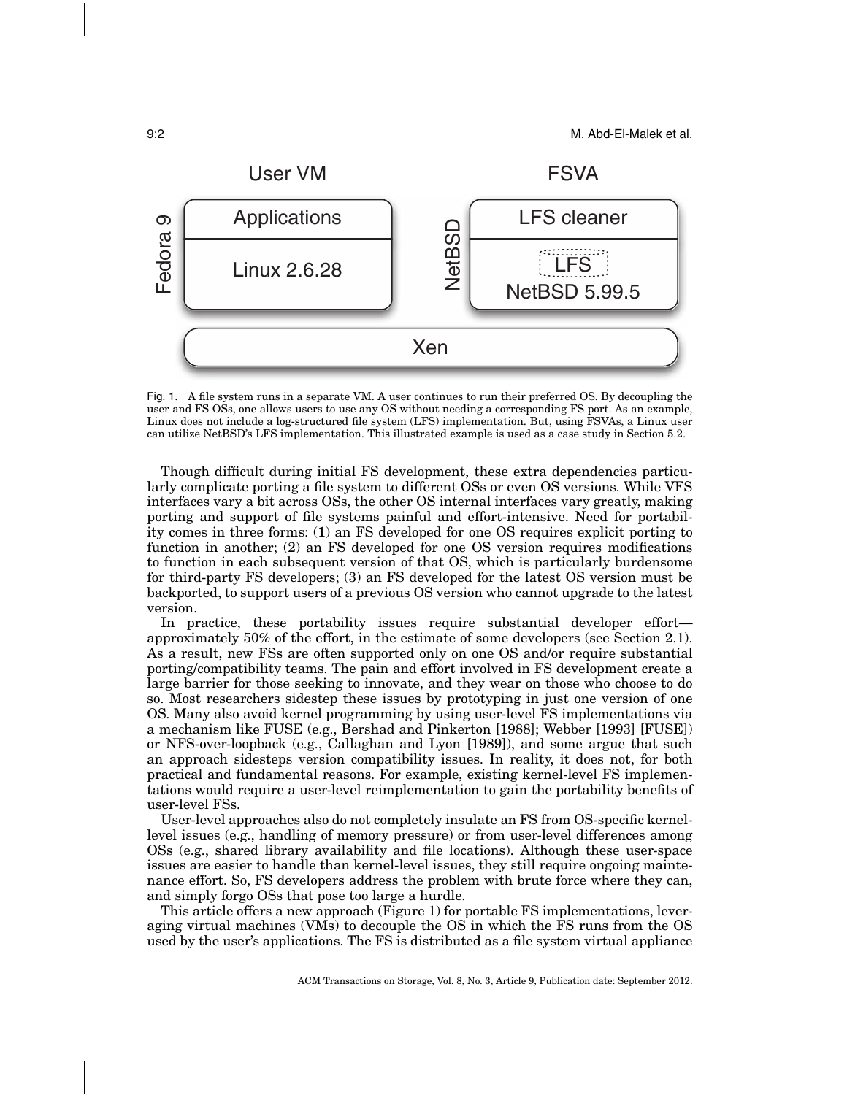9:2 M. Abd-El-Malek et al.



Fig. 1. A file system runs in a separate VM. A user continues to run their preferred OS. By decoupling the user and FS OSs, one allows users to use any OS without needing a corresponding FS port. As an example, Linux does not include a log-structured file system (LFS) implementation. But, using FSVAs, a Linux user can utilize NetBSD's LFS implementation. This illustrated example is used as a case study in Section 5.2.

Though difficult during initial FS development, these extra dependencies particularly complicate porting a file system to different OSs or even OS versions. While VFS interfaces vary a bit across OSs, the other OS internal interfaces vary greatly, making porting and support of file systems painful and effort-intensive. Need for portability comes in three forms: (1) an FS developed for one OS requires explicit porting to function in another; (2) an FS developed for one OS version requires modifications to function in each subsequent version of that OS, which is particularly burdensome for third-party FS developers; (3) an FS developed for the latest OS version must be backported, to support users of a previous OS version who cannot upgrade to the latest version.

In practice, these portability issues require substantial developer effort approximately 50% of the effort, in the estimate of some developers (see Section 2.1). As a result, new FSs are often supported only on one OS and/or require substantial porting/compatibility teams. The pain and effort involved in FS development create a large barrier for those seeking to innovate, and they wear on those who choose to do so. Most researchers sidestep these issues by prototyping in just one version of one OS. Many also avoid kernel programming by using user-level FS implementations via a mechanism like FUSE (e.g., Bershad and Pinkerton [1988]; Webber [1993] [FUSE]) or NFS-over-loopback (e.g., Callaghan and Lyon [1989]), and some argue that such an approach sidesteps version compatibility issues. In reality, it does not, for both practical and fundamental reasons. For example, existing kernel-level FS implementations would require a user-level reimplementation to gain the portability benefits of user-level FSs.

User-level approaches also do not completely insulate an FS from OS-specific kernellevel issues (e.g., handling of memory pressure) or from user-level differences among OSs (e.g., shared library availability and file locations). Although these user-space issues are easier to handle than kernel-level issues, they still require ongoing maintenance effort. So, FS developers address the problem with brute force where they can, and simply forgo OSs that pose too large a hurdle.

This article offers a new approach (Figure 1) for portable FS implementations, leveraging virtual machines (VMs) to decouple the OS in which the FS runs from the OS used by the user's applications. The FS is distributed as a file system virtual appliance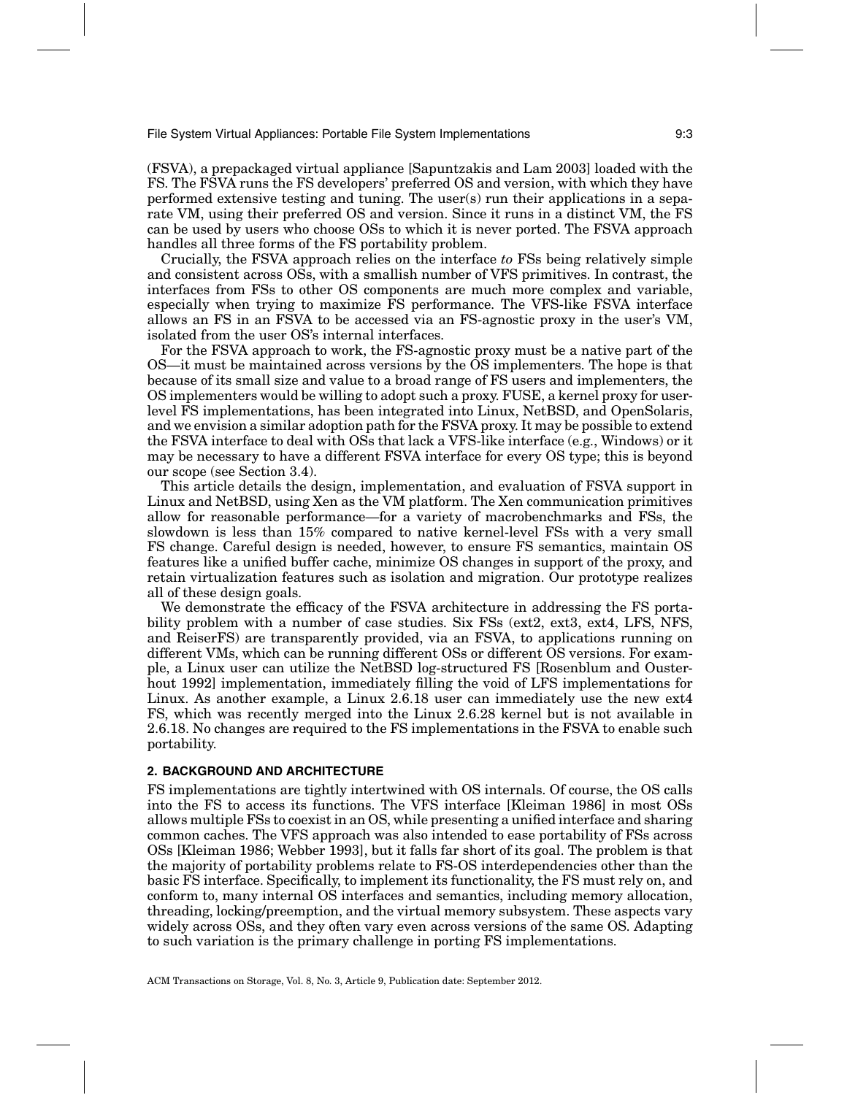(FSVA), a prepackaged virtual appliance [Sapuntzakis and Lam 2003] loaded with the FS. The FSVA runs the FS developers' preferred OS and version, with which they have performed extensive testing and tuning. The user(s) run their applications in a separate VM, using their preferred OS and version. Since it runs in a distinct VM, the FS can be used by users who choose OSs to which it is never ported. The FSVA approach handles all three forms of the FS portability problem.

Crucially, the FSVA approach relies on the interface *to* FSs being relatively simple and consistent across OSs, with a smallish number of VFS primitives. In contrast, the interfaces from FSs to other OS components are much more complex and variable, especially when trying to maximize FS performance. The VFS-like FSVA interface allows an FS in an FSVA to be accessed via an FS-agnostic proxy in the user's VM, isolated from the user OS's internal interfaces.

For the FSVA approach to work, the FS-agnostic proxy must be a native part of the OS—it must be maintained across versions by the OS implementers. The hope is that because of its small size and value to a broad range of FS users and implementers, the OS implementers would be willing to adopt such a proxy. FUSE, a kernel proxy for userlevel FS implementations, has been integrated into Linux, NetBSD, and OpenSolaris, and we envision a similar adoption path for the FSVA proxy. It may be possible to extend the FSVA interface to deal with OSs that lack a VFS-like interface (e.g., Windows) or it may be necessary to have a different FSVA interface for every OS type; this is beyond our scope (see Section 3.4).

This article details the design, implementation, and evaluation of FSVA support in Linux and NetBSD, using Xen as the VM platform. The Xen communication primitives allow for reasonable performance—for a variety of macrobenchmarks and FSs, the slowdown is less than 15% compared to native kernel-level FSs with a very small FS change. Careful design is needed, however, to ensure FS semantics, maintain OS features like a unified buffer cache, minimize OS changes in support of the proxy, and retain virtualization features such as isolation and migration. Our prototype realizes all of these design goals.

We demonstrate the efficacy of the FSVA architecture in addressing the FS portability problem with a number of case studies. Six FSs (ext2, ext3, ext4, LFS, NFS, and ReiserFS) are transparently provided, via an FSVA, to applications running on different VMs, which can be running different OSs or different OS versions. For example, a Linux user can utilize the NetBSD log-structured FS [Rosenblum and Ousterhout 1992] implementation, immediately filling the void of LFS implementations for Linux. As another example, a Linux 2.6.18 user can immediately use the new ext4 FS, which was recently merged into the Linux 2.6.28 kernel but is not available in 2.6.18. No changes are required to the FS implementations in the FSVA to enable such portability.

# **2. BACKGROUND AND ARCHITECTURE**

FS implementations are tightly intertwined with OS internals. Of course, the OS calls into the FS to access its functions. The VFS interface [Kleiman 1986] in most OSs allows multiple FSs to coexist in an OS, while presenting a unified interface and sharing common caches. The VFS approach was also intended to ease portability of FSs across OSs [Kleiman 1986; Webber 1993], but it falls far short of its goal. The problem is that the majority of portability problems relate to FS-OS interdependencies other than the basic FS interface. Specifically, to implement its functionality, the FS must rely on, and conform to, many internal OS interfaces and semantics, including memory allocation, threading, locking/preemption, and the virtual memory subsystem. These aspects vary widely across OSs, and they often vary even across versions of the same OS. Adapting to such variation is the primary challenge in porting FS implementations.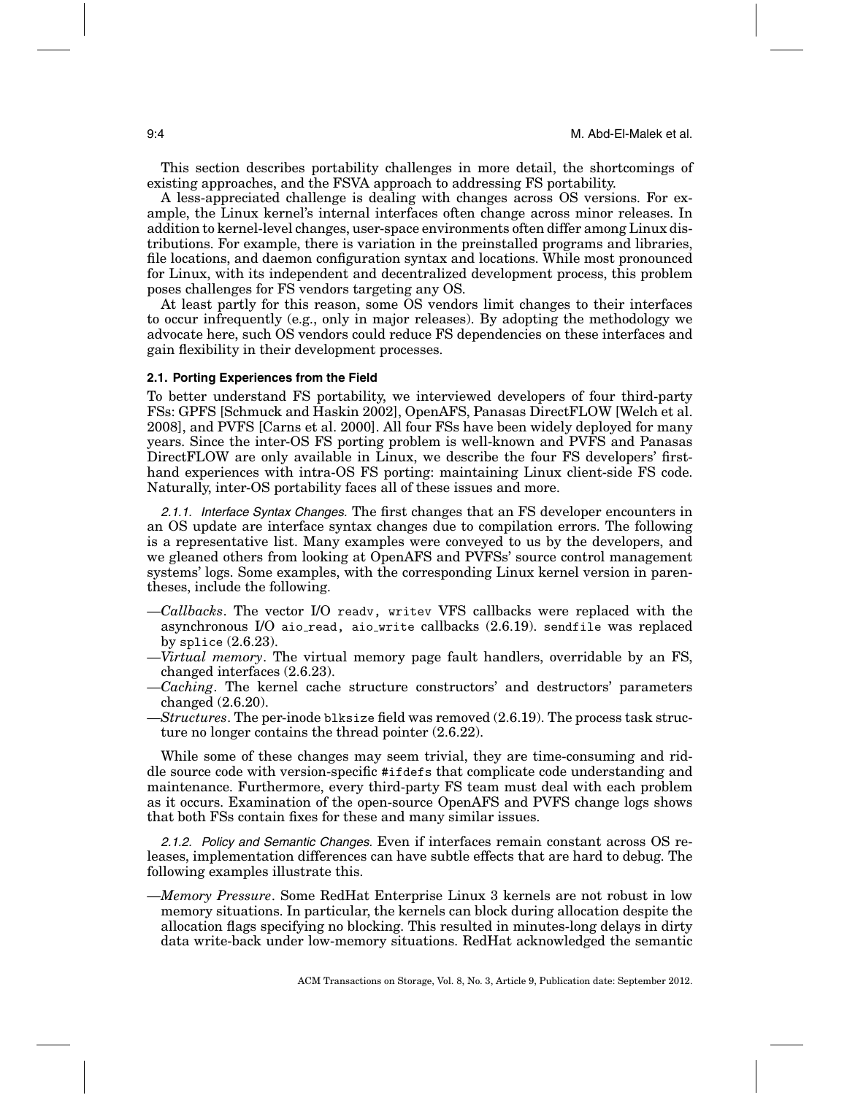This section describes portability challenges in more detail, the shortcomings of existing approaches, and the FSVA approach to addressing FS portability.

A less-appreciated challenge is dealing with changes across OS versions. For example, the Linux kernel's internal interfaces often change across minor releases. In addition to kernel-level changes, user-space environments often differ among Linux distributions. For example, there is variation in the preinstalled programs and libraries, file locations, and daemon configuration syntax and locations. While most pronounced for Linux, with its independent and decentralized development process, this problem poses challenges for FS vendors targeting any OS.

At least partly for this reason, some OS vendors limit changes to their interfaces to occur infrequently (e.g., only in major releases). By adopting the methodology we advocate here, such OS vendors could reduce FS dependencies on these interfaces and gain flexibility in their development processes.

#### **2.1. Porting Experiences from the Field**

To better understand FS portability, we interviewed developers of four third-party FSs: GPFS [Schmuck and Haskin 2002], OpenAFS, Panasas DirectFLOW [Welch et al. 2008], and PVFS [Carns et al. 2000]. All four FSs have been widely deployed for many years. Since the inter-OS FS porting problem is well-known and PVFS and Panasas DirectFLOW are only available in Linux, we describe the four FS developers' firsthand experiences with intra-OS FS porting: maintaining Linux client-side FS code. Naturally, inter-OS portability faces all of these issues and more.

2.1.1. Interface Syntax Changes. The first changes that an FS developer encounters in an OS update are interface syntax changes due to compilation errors. The following is a representative list. Many examples were conveyed to us by the developers, and we gleaned others from looking at OpenAFS and PVFSs' source control management systems' logs. Some examples, with the corresponding Linux kernel version in parentheses, include the following.

- —*Callbacks*. The vector I/O readv, writev VFS callbacks were replaced with the asynchronous I/O aio read, aio write callbacks (2.6.19). sendfile was replaced by splice (2.6.23).
- —*Virtual memory*. The virtual memory page fault handlers, overridable by an FS, changed interfaces (2.6.23).
- —*Caching*. The kernel cache structure constructors' and destructors' parameters changed (2.6.20).
- —*Structures*. The per-inode blksize field was removed (2.6.19). The process task structure no longer contains the thread pointer (2.6.22).

While some of these changes may seem trivial, they are time-consuming and riddle source code with version-specific #ifdefs that complicate code understanding and maintenance. Furthermore, every third-party FS team must deal with each problem as it occurs. Examination of the open-source OpenAFS and PVFS change logs shows that both FSs contain fixes for these and many similar issues.

2.1.2. Policy and Semantic Changes. Even if interfaces remain constant across OS releases, implementation differences can have subtle effects that are hard to debug. The following examples illustrate this.

—*Memory Pressure*. Some RedHat Enterprise Linux 3 kernels are not robust in low memory situations. In particular, the kernels can block during allocation despite the allocation flags specifying no blocking. This resulted in minutes-long delays in dirty data write-back under low-memory situations. RedHat acknowledged the semantic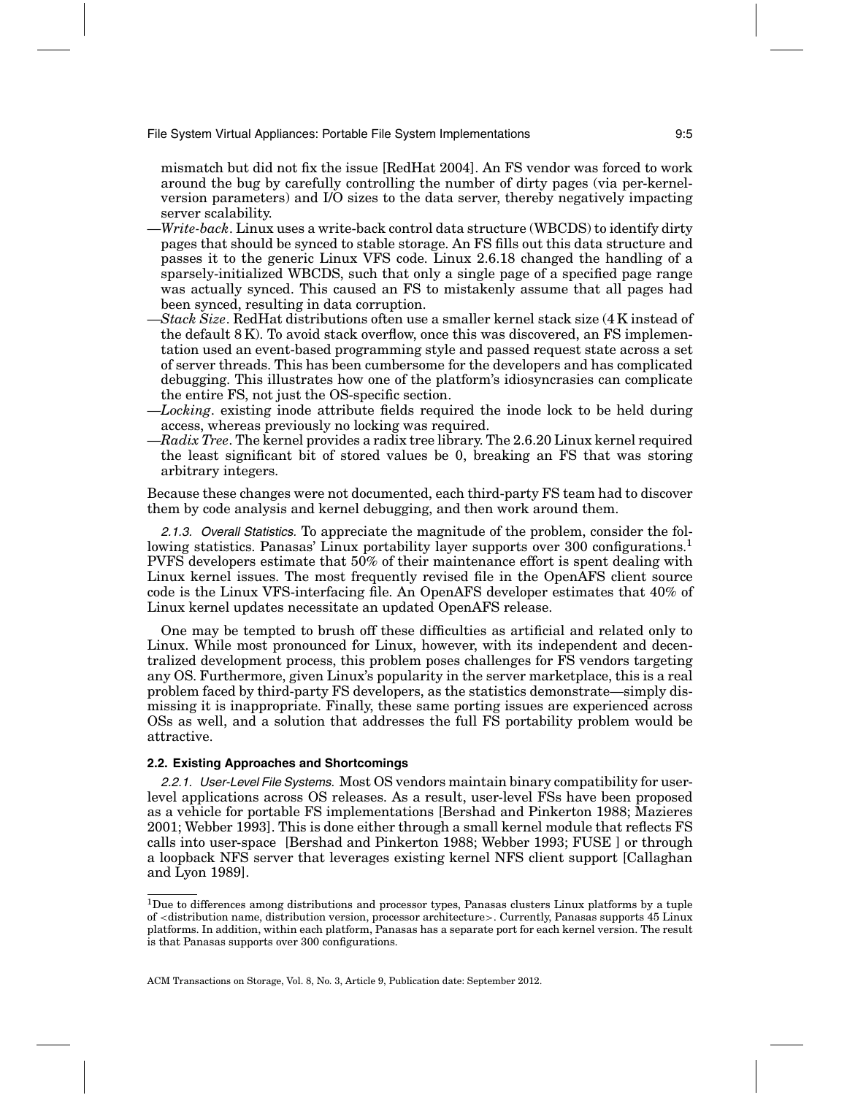mismatch but did not fix the issue [RedHat 2004]. An FS vendor was forced to work around the bug by carefully controlling the number of dirty pages (via per-kernelversion parameters) and I/O sizes to the data server, thereby negatively impacting server scalability.

- —*Write-back*. Linux uses a write-back control data structure (WBCDS) to identify dirty pages that should be synced to stable storage. An FS fills out this data structure and passes it to the generic Linux VFS code. Linux 2.6.18 changed the handling of a sparsely-initialized WBCDS, such that only a single page of a specified page range was actually synced. This caused an FS to mistakenly assume that all pages had been synced, resulting in data corruption.
- —*Stack Size*. RedHat distributions often use a smaller kernel stack size (4 K instead of the default 8 K). To avoid stack overflow, once this was discovered, an FS implementation used an event-based programming style and passed request state across a set of server threads. This has been cumbersome for the developers and has complicated debugging. This illustrates how one of the platform's idiosyncrasies can complicate the entire FS, not just the OS-specific section.
- —*Locking*. existing inode attribute fields required the inode lock to be held during access, whereas previously no locking was required.
- —*Radix Tree*. The kernel provides a radix tree library. The 2.6.20 Linux kernel required the least significant bit of stored values be 0, breaking an FS that was storing arbitrary integers.

Because these changes were not documented, each third-party FS team had to discover them by code analysis and kernel debugging, and then work around them.

2.1.3. Overall Statistics. To appreciate the magnitude of the problem, consider the following statistics. Panasas' Linux portability layer supports over 300 configurations.<sup>1</sup> PVFS developers estimate that 50% of their maintenance effort is spent dealing with Linux kernel issues. The most frequently revised file in the OpenAFS client source code is the Linux VFS-interfacing file. An OpenAFS developer estimates that 40% of Linux kernel updates necessitate an updated OpenAFS release.

One may be tempted to brush off these difficulties as artificial and related only to Linux. While most pronounced for Linux, however, with its independent and decentralized development process, this problem poses challenges for FS vendors targeting any OS. Furthermore, given Linux's popularity in the server marketplace, this is a real problem faced by third-party FS developers, as the statistics demonstrate—simply dismissing it is inappropriate. Finally, these same porting issues are experienced across OSs as well, and a solution that addresses the full FS portability problem would be attractive.

## **2.2. Existing Approaches and Shortcomings**

2.2.1. User-Level File Systems. Most OS vendors maintain binary compatibility for userlevel applications across OS releases. As a result, user-level FSs have been proposed as a vehicle for portable FS implementations [Bershad and Pinkerton 1988; Mazieres 2001; Webber 1993]. This is done either through a small kernel module that reflects FS calls into user-space [Bershad and Pinkerton 1988; Webber 1993; FUSE ] or through a loopback NFS server that leverages existing kernel NFS client support [Callaghan and Lyon 1989].

 $1$ Due to differences among distributions and processor types, Panasas clusters Linux platforms by a tuple of <distribution name, distribution version, processor architecture>. Currently, Panasas supports 45 Linux platforms. In addition, within each platform, Panasas has a separate port for each kernel version. The result is that Panasas supports over 300 configurations.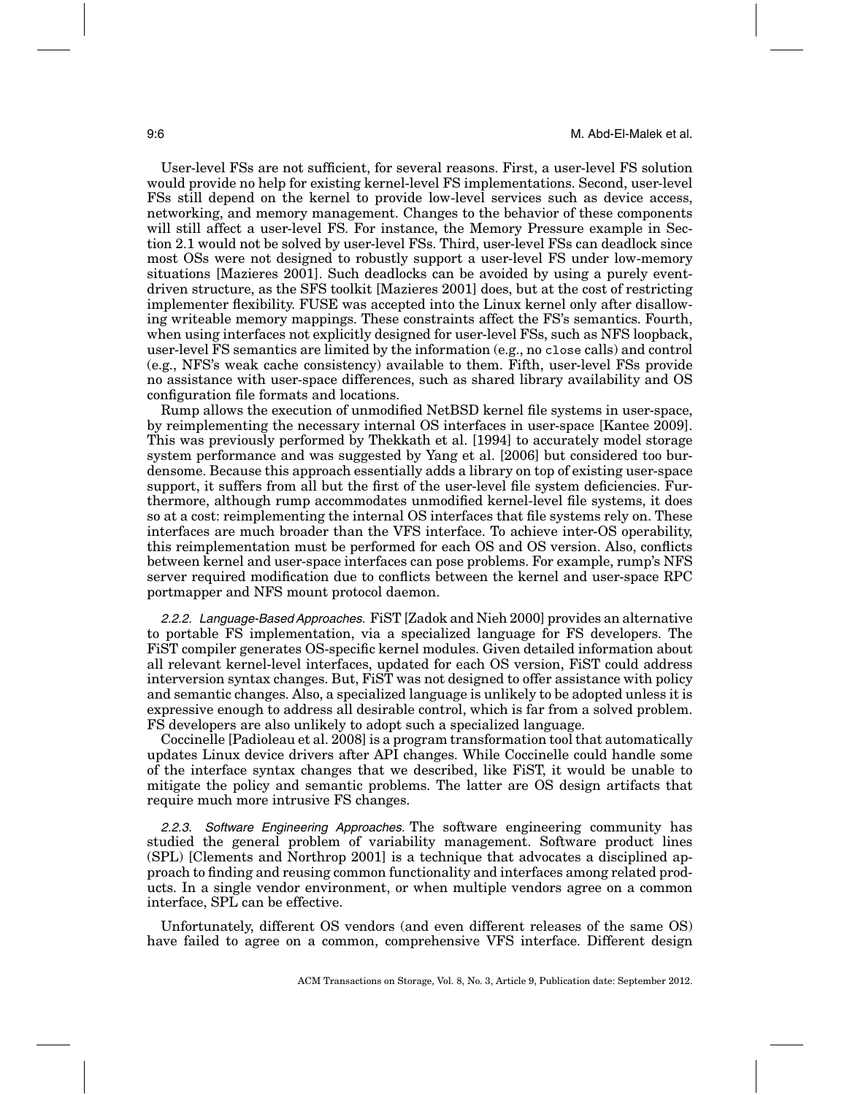User-level FSs are not sufficient, for several reasons. First, a user-level FS solution would provide no help for existing kernel-level FS implementations. Second, user-level FSs still depend on the kernel to provide low-level services such as device access, networking, and memory management. Changes to the behavior of these components will still affect a user-level FS. For instance, the Memory Pressure example in Section 2.1 would not be solved by user-level FSs. Third, user-level FSs can deadlock since most OSs were not designed to robustly support a user-level FS under low-memory situations [Mazieres 2001]. Such deadlocks can be avoided by using a purely eventdriven structure, as the SFS toolkit [Mazieres 2001] does, but at the cost of restricting implementer flexibility. FUSE was accepted into the Linux kernel only after disallowing writeable memory mappings. These constraints affect the FS's semantics. Fourth, when using interfaces not explicitly designed for user-level FSs, such as NFS loopback, user-level FS semantics are limited by the information (e.g., no close calls) and control (e.g., NFS's weak cache consistency) available to them. Fifth, user-level FSs provide no assistance with user-space differences, such as shared library availability and OS configuration file formats and locations.

Rump allows the execution of unmodified NetBSD kernel file systems in user-space, by reimplementing the necessary internal OS interfaces in user-space [Kantee 2009]. This was previously performed by Thekkath et al. [1994] to accurately model storage system performance and was suggested by Yang et al. [2006] but considered too burdensome. Because this approach essentially adds a library on top of existing user-space support, it suffers from all but the first of the user-level file system deficiencies. Furthermore, although rump accommodates unmodified kernel-level file systems, it does so at a cost: reimplementing the internal OS interfaces that file systems rely on. These interfaces are much broader than the VFS interface. To achieve inter-OS operability, this reimplementation must be performed for each OS and OS version. Also, conflicts between kernel and user-space interfaces can pose problems. For example, rump's NFS server required modification due to conflicts between the kernel and user-space RPC portmapper and NFS mount protocol daemon.

2.2.2. Language-Based Approaches. FiST [Zadok and Nieh 2000] provides an alternative to portable FS implementation, via a specialized language for FS developers. The FiST compiler generates OS-specific kernel modules. Given detailed information about all relevant kernel-level interfaces, updated for each OS version, FiST could address interversion syntax changes. But, FiST was not designed to offer assistance with policy and semantic changes. Also, a specialized language is unlikely to be adopted unless it is expressive enough to address all desirable control, which is far from a solved problem. FS developers are also unlikely to adopt such a specialized language.

Coccinelle [Padioleau et al. 2008] is a program transformation tool that automatically updates Linux device drivers after API changes. While Coccinelle could handle some of the interface syntax changes that we described, like FiST, it would be unable to mitigate the policy and semantic problems. The latter are OS design artifacts that require much more intrusive FS changes.

2.2.3. Software Engineering Approaches. The software engineering community has studied the general problem of variability management. Software product lines (SPL) [Clements and Northrop 2001] is a technique that advocates a disciplined approach to finding and reusing common functionality and interfaces among related products. In a single vendor environment, or when multiple vendors agree on a common interface, SPL can be effective.

Unfortunately, different OS vendors (and even different releases of the same OS) have failed to agree on a common, comprehensive VFS interface. Different design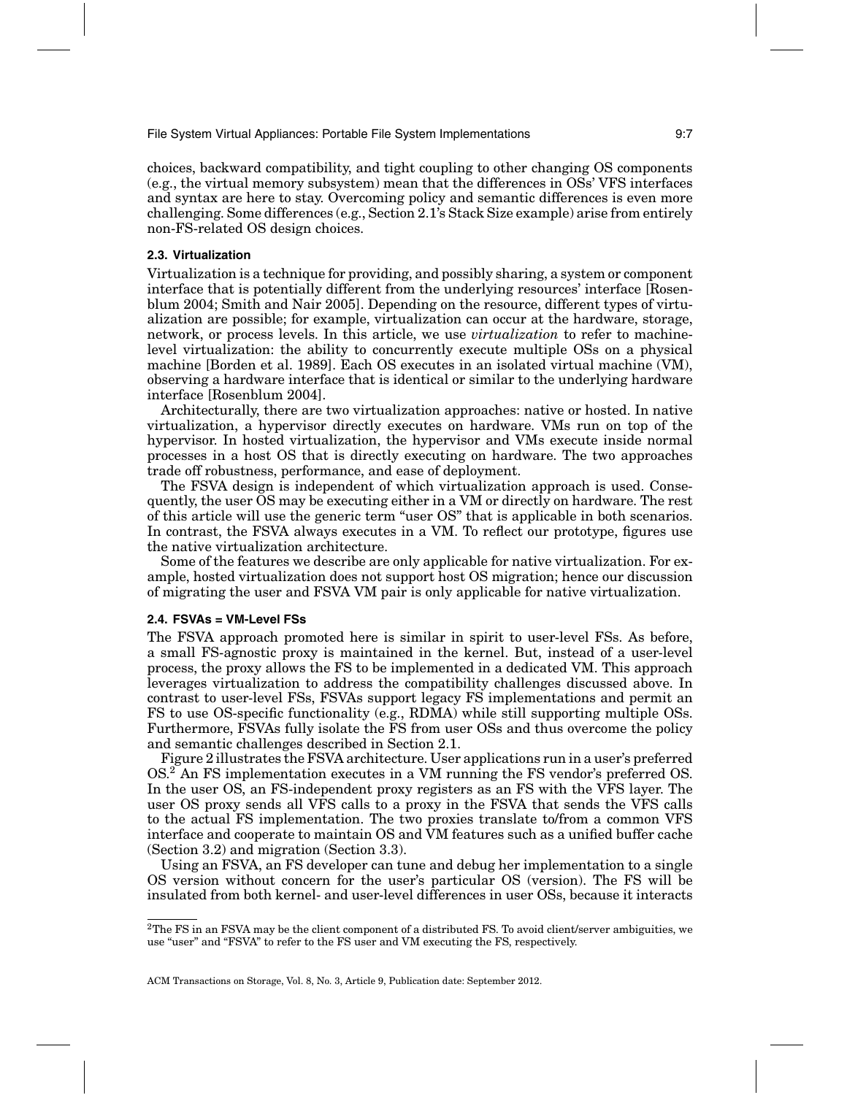choices, backward compatibility, and tight coupling to other changing OS components (e.g., the virtual memory subsystem) mean that the differences in OSs' VFS interfaces and syntax are here to stay. Overcoming policy and semantic differences is even more challenging. Some differences (e.g., Section 2.1's Stack Size example) arise from entirely non-FS-related OS design choices.

# **2.3. Virtualization**

Virtualization is a technique for providing, and possibly sharing, a system or component interface that is potentially different from the underlying resources' interface [Rosenblum 2004; Smith and Nair 2005]. Depending on the resource, different types of virtualization are possible; for example, virtualization can occur at the hardware, storage, network, or process levels. In this article, we use *virtualization* to refer to machinelevel virtualization: the ability to concurrently execute multiple OSs on a physical machine [Borden et al. 1989]. Each OS executes in an isolated virtual machine (VM), observing a hardware interface that is identical or similar to the underlying hardware interface [Rosenblum 2004].

Architecturally, there are two virtualization approaches: native or hosted. In native virtualization, a hypervisor directly executes on hardware. VMs run on top of the hypervisor. In hosted virtualization, the hypervisor and VMs execute inside normal processes in a host OS that is directly executing on hardware. The two approaches trade off robustness, performance, and ease of deployment.

The FSVA design is independent of which virtualization approach is used. Consequently, the user OS may be executing either in a VM or directly on hardware. The rest of this article will use the generic term "user OS" that is applicable in both scenarios. In contrast, the FSVA always executes in a VM. To reflect our prototype, figures use the native virtualization architecture.

Some of the features we describe are only applicable for native virtualization. For example, hosted virtualization does not support host OS migration; hence our discussion of migrating the user and FSVA VM pair is only applicable for native virtualization.

# **2.4. FSVAs = VM-Level FSs**

The FSVA approach promoted here is similar in spirit to user-level FSs. As before, a small FS-agnostic proxy is maintained in the kernel. But, instead of a user-level process, the proxy allows the FS to be implemented in a dedicated VM. This approach leverages virtualization to address the compatibility challenges discussed above. In contrast to user-level FSs, FSVAs support legacy FS implementations and permit an FS to use OS-specific functionality (e.g., RDMA) while still supporting multiple OSs. Furthermore, FSVAs fully isolate the FS from user OSs and thus overcome the policy and semantic challenges described in Section 2.1.

Figure 2 illustrates the FSVA architecture. User applications run in a user's preferred OS.<sup>2</sup> An FS implementation executes in a VM running the FS vendor's preferred OS. In the user OS, an FS-independent proxy registers as an FS with the VFS layer. The user OS proxy sends all VFS calls to a proxy in the FSVA that sends the VFS calls to the actual FS implementation. The two proxies translate to/from a common VFS interface and cooperate to maintain OS and VM features such as a unified buffer cache (Section 3.2) and migration (Section 3.3).

Using an FSVA, an FS developer can tune and debug her implementation to a single OS version without concern for the user's particular OS (version). The FS will be insulated from both kernel- and user-level differences in user OSs, because it interacts

 $2$ The FS in an FSVA may be the client component of a distributed FS. To avoid client/server ambiguities, we use "user" and "FSVA" to refer to the FS user and VM executing the FS, respectively.

ACM Transactions on Storage, Vol. 8, No. 3, Article 9, Publication date: September 2012.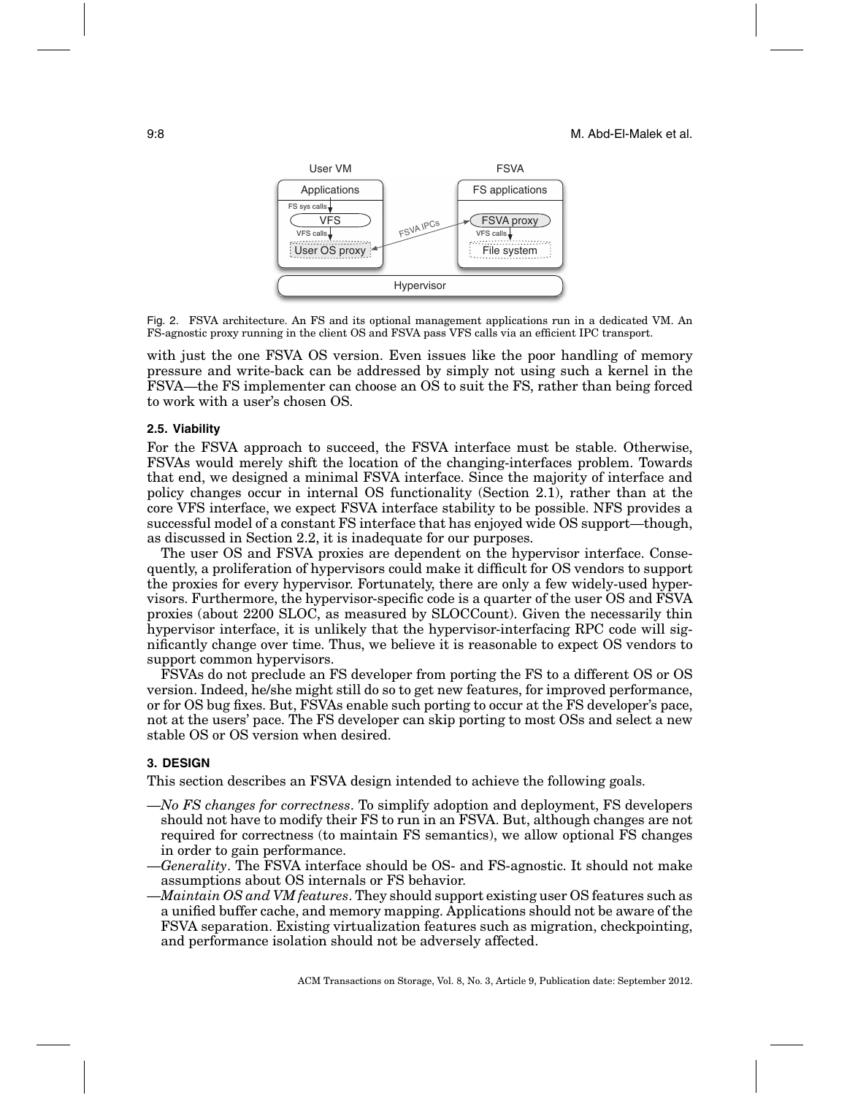

Fig. 2. FSVA architecture. An FS and its optional management applications run in a dedicated VM. An FS-agnostic proxy running in the client OS and FSVA pass VFS calls via an efficient IPC transport.

with just the one FSVA OS version. Even issues like the poor handling of memory pressure and write-back can be addressed by simply not using such a kernel in the FSVA—the FS implementer can choose an OS to suit the FS, rather than being forced to work with a user's chosen OS.

# **2.5. Viability**

For the FSVA approach to succeed, the FSVA interface must be stable. Otherwise, FSVAs would merely shift the location of the changing-interfaces problem. Towards that end, we designed a minimal FSVA interface. Since the majority of interface and policy changes occur in internal OS functionality (Section 2.1), rather than at the core VFS interface, we expect FSVA interface stability to be possible. NFS provides a successful model of a constant FS interface that has enjoyed wide OS support—though, as discussed in Section 2.2, it is inadequate for our purposes.

The user OS and FSVA proxies are dependent on the hypervisor interface. Consequently, a proliferation of hypervisors could make it difficult for OS vendors to support the proxies for every hypervisor. Fortunately, there are only a few widely-used hypervisors. Furthermore, the hypervisor-specific code is a quarter of the user OS and FSVA proxies (about 2200 SLOC, as measured by SLOCCount). Given the necessarily thin hypervisor interface, it is unlikely that the hypervisor-interfacing RPC code will significantly change over time. Thus, we believe it is reasonable to expect OS vendors to support common hypervisors.

FSVAs do not preclude an FS developer from porting the FS to a different OS or OS version. Indeed, he/she might still do so to get new features, for improved performance, or for OS bug fixes. But, FSVAs enable such porting to occur at the FS developer's pace, not at the users' pace. The FS developer can skip porting to most OSs and select a new stable OS or OS version when desired.

# **3. DESIGN**

This section describes an FSVA design intended to achieve the following goals.

- —*No FS changes for correctness*. To simplify adoption and deployment, FS developers should not have to modify their FS to run in an FSVA. But, although changes are not required for correctness (to maintain FS semantics), we allow optional FS changes in order to gain performance.
- —*Generality*. The FSVA interface should be OS- and FS-agnostic. It should not make assumptions about OS internals or FS behavior.
- —*Maintain OS and VM features*. They should support existing user OS features such as a unified buffer cache, and memory mapping. Applications should not be aware of the FSVA separation. Existing virtualization features such as migration, checkpointing, and performance isolation should not be adversely affected.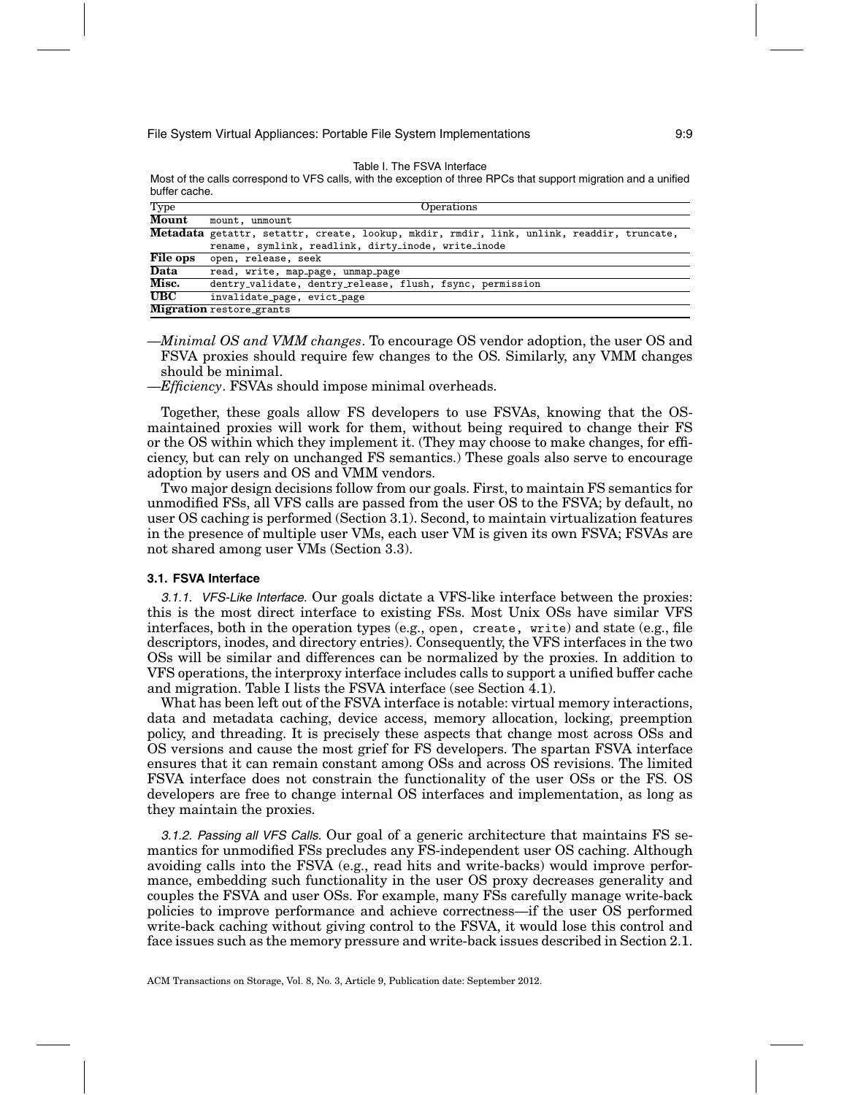Table I. The FSVA Interface

Most of the calls correspond to VFS calls, with the exception of three RPCs that support migration and a unified buffer cache.

| Type                            | Operations                                                                                |  |  |  |  |  |
|---------------------------------|-------------------------------------------------------------------------------------------|--|--|--|--|--|
| Mount                           | mount, unmount                                                                            |  |  |  |  |  |
|                                 | Metadata getattr, setattr, create, lookup, mkdir, rmdir, link, unlink, readdir, truncate, |  |  |  |  |  |
|                                 | rename, symlink, readlink, dirty_inode, write_inode                                       |  |  |  |  |  |
| File ops                        | open, release, seek                                                                       |  |  |  |  |  |
| Data                            | read, write, map_page, unmap_page                                                         |  |  |  |  |  |
| Misc.                           | dentry_validate, dentry_release, flush, fsync, permission                                 |  |  |  |  |  |
| UBC                             | invalidate_page, evict_page                                                               |  |  |  |  |  |
| <b>Migration</b> restore_grants |                                                                                           |  |  |  |  |  |

—*Minimal OS and VMM changes*. To encourage OS vendor adoption, the user OS and FSVA proxies should require few changes to the OS. Similarly, any VMM changes should be minimal.

—*Efficiency*. FSVAs should impose minimal overheads.

Together, these goals allow FS developers to use FSVAs, knowing that the OSmaintained proxies will work for them, without being required to change their FS or the OS within which they implement it. (They may choose to make changes, for efficiency, but can rely on unchanged FS semantics.) These goals also serve to encourage adoption by users and OS and VMM vendors.

Two major design decisions follow from our goals. First, to maintain FS semantics for unmodified FSs, all VFS calls are passed from the user OS to the FSVA; by default, no user OS caching is performed (Section 3.1). Second, to maintain virtualization features in the presence of multiple user VMs, each user VM is given its own FSVA; FSVAs are not shared among user VMs (Section 3.3).

# **3.1. FSVA Interface**

3.1.1. VFS-Like Interface. Our goals dictate a VFS-like interface between the proxies: this is the most direct interface to existing FSs. Most Unix OSs have similar VFS interfaces, both in the operation types (e.g., open, create, write) and state (e.g., file descriptors, inodes, and directory entries). Consequently, the VFS interfaces in the two OSs will be similar and differences can be normalized by the proxies. In addition to VFS operations, the interproxy interface includes calls to support a unified buffer cache and migration. Table I lists the FSVA interface (see Section 4.1).

What has been left out of the FSVA interface is notable: virtual memory interactions, data and metadata caching, device access, memory allocation, locking, preemption policy, and threading. It is precisely these aspects that change most across OSs and OS versions and cause the most grief for FS developers. The spartan FSVA interface ensures that it can remain constant among OSs and across OS revisions. The limited FSVA interface does not constrain the functionality of the user OSs or the FS. OS developers are free to change internal OS interfaces and implementation, as long as they maintain the proxies.

3.1.2. Passing all VFS Calls. Our goal of a generic architecture that maintains FS semantics for unmodified FSs precludes any FS-independent user OS caching. Although avoiding calls into the FSVA (e.g., read hits and write-backs) would improve performance, embedding such functionality in the user OS proxy decreases generality and couples the FSVA and user OSs. For example, many FSs carefully manage write-back policies to improve performance and achieve correctness—if the user OS performed write-back caching without giving control to the FSVA, it would lose this control and face issues such as the memory pressure and write-back issues described in Section 2.1.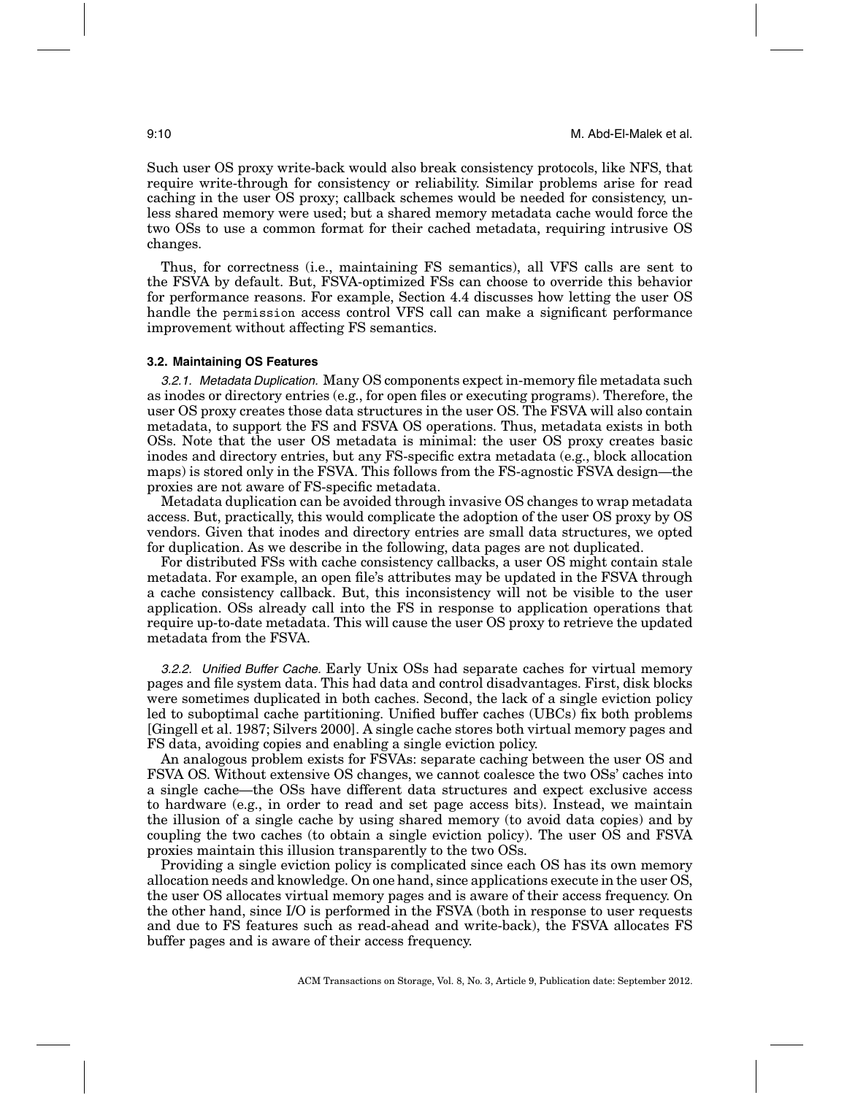Such user OS proxy write-back would also break consistency protocols, like NFS, that require write-through for consistency or reliability. Similar problems arise for read caching in the user OS proxy; callback schemes would be needed for consistency, unless shared memory were used; but a shared memory metadata cache would force the two OSs to use a common format for their cached metadata, requiring intrusive OS changes.

Thus, for correctness (i.e., maintaining FS semantics), all VFS calls are sent to the FSVA by default. But, FSVA-optimized FSs can choose to override this behavior for performance reasons. For example, Section 4.4 discusses how letting the user OS handle the permission access control VFS call can make a significant performance improvement without affecting FS semantics.

#### **3.2. Maintaining OS Features**

3.2.1. Metadata Duplication. Many OS components expect in-memory file metadata such as inodes or directory entries (e.g., for open files or executing programs). Therefore, the user OS proxy creates those data structures in the user OS. The FSVA will also contain metadata, to support the FS and FSVA OS operations. Thus, metadata exists in both OSs. Note that the user OS metadata is minimal: the user OS proxy creates basic inodes and directory entries, but any FS-specific extra metadata (e.g., block allocation maps) is stored only in the FSVA. This follows from the FS-agnostic FSVA design—the proxies are not aware of FS-specific metadata.

Metadata duplication can be avoided through invasive OS changes to wrap metadata access. But, practically, this would complicate the adoption of the user OS proxy by OS vendors. Given that inodes and directory entries are small data structures, we opted for duplication. As we describe in the following, data pages are not duplicated.

For distributed FSs with cache consistency callbacks, a user OS might contain stale metadata. For example, an open file's attributes may be updated in the FSVA through a cache consistency callback. But, this inconsistency will not be visible to the user application. OSs already call into the FS in response to application operations that require up-to-date metadata. This will cause the user OS proxy to retrieve the updated metadata from the FSVA.

3.2.2. Unified Buffer Cache. Early Unix OSs had separate caches for virtual memory pages and file system data. This had data and control disadvantages. First, disk blocks were sometimes duplicated in both caches. Second, the lack of a single eviction policy led to suboptimal cache partitioning. Unified buffer caches (UBCs) fix both problems [Gingell et al. 1987; Silvers 2000]. A single cache stores both virtual memory pages and FS data, avoiding copies and enabling a single eviction policy.

An analogous problem exists for FSVAs: separate caching between the user OS and FSVA OS. Without extensive OS changes, we cannot coalesce the two OSs' caches into a single cache—the OSs have different data structures and expect exclusive access to hardware (e.g., in order to read and set page access bits). Instead, we maintain the illusion of a single cache by using shared memory (to avoid data copies) and by coupling the two caches (to obtain a single eviction policy). The user OS and FSVA proxies maintain this illusion transparently to the two OSs.

Providing a single eviction policy is complicated since each OS has its own memory allocation needs and knowledge. On one hand, since applications execute in the user OS, the user OS allocates virtual memory pages and is aware of their access frequency. On the other hand, since I/O is performed in the FSVA (both in response to user requests and due to FS features such as read-ahead and write-back), the FSVA allocates FS buffer pages and is aware of their access frequency.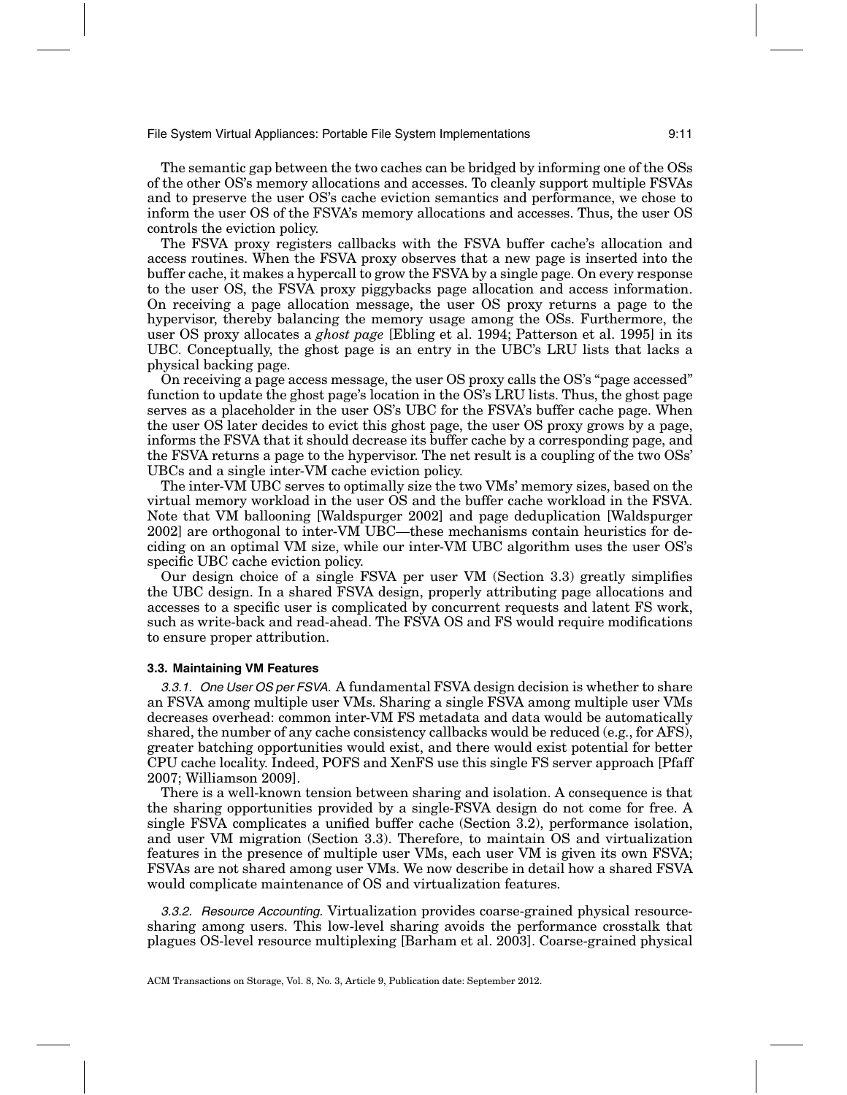The semantic gap between the two caches can be bridged by informing one of the OSs of the other OS's memory allocations and accesses. To cleanly support multiple FSVAs and to preserve the user OS's cache eviction semantics and performance, we chose to inform the user OS of the FSVA's memory allocations and accesses. Thus, the user OS controls the eviction policy.

The FSVA proxy registers callbacks with the FSVA buffer cache's allocation and access routines. When the FSVA proxy observes that a new page is inserted into the buffer cache, it makes a hypercall to grow the FSVA by a single page. On every response to the user OS, the FSVA proxy piggybacks page allocation and access information. On receiving a page allocation message, the user OS proxy returns a page to the hypervisor, thereby balancing the memory usage among the OSs. Furthermore, the user OS proxy allocates a *ghost page* [Ebling et al. 1994; Patterson et al. 1995] in its UBC. Conceptually, the ghost page is an entry in the UBC's LRU lists that lacks a physical backing page.

On receiving a page access message, the user OS proxy calls the OS's "page accessed" function to update the ghost page's location in the OS's LRU lists. Thus, the ghost page serves as a placeholder in the user OS's UBC for the FSVA's buffer cache page. When the user OS later decides to evict this ghost page, the user OS proxy grows by a page, informs the FSVA that it should decrease its buffer cache by a corresponding page, and the FSVA returns a page to the hypervisor. The net result is a coupling of the two OSs' UBCs and a single inter-VM cache eviction policy.

The inter-VM UBC serves to optimally size the two VMs' memory sizes, based on the virtual memory workload in the user OS and the buffer cache workload in the FSVA. Note that VM ballooning [Waldspurger 2002] and page deduplication [Waldspurger 2002] are orthogonal to inter-VM UBC—these mechanisms contain heuristics for deciding on an optimal VM size, while our inter-VM UBC algorithm uses the user OS's specific UBC cache eviction policy.

Our design choice of a single FSVA per user VM (Section 3.3) greatly simplifies the UBC design. In a shared FSVA design, properly attributing page allocations and accesses to a specific user is complicated by concurrent requests and latent FS work, such as write-back and read-ahead. The FSVA OS and FS would require modifications to ensure proper attribution.

## **3.3. Maintaining VM Features**

3.3.1. One User OS per FSVA. A fundamental FSVA design decision is whether to share an FSVA among multiple user VMs. Sharing a single FSVA among multiple user VMs decreases overhead: common inter-VM FS metadata and data would be automatically shared, the number of any cache consistency callbacks would be reduced (e.g., for AFS), greater batching opportunities would exist, and there would exist potential for better CPU cache locality. Indeed, POFS and XenFS use this single FS server approach [Pfaff 2007; Williamson 2009].

There is a well-known tension between sharing and isolation. A consequence is that the sharing opportunities provided by a single-FSVA design do not come for free. A single FSVA complicates a unified buffer cache (Section 3.2), performance isolation, and user VM migration (Section 3.3). Therefore, to maintain OS and virtualization features in the presence of multiple user VMs, each user VM is given its own FSVA; FSVAs are not shared among user VMs. We now describe in detail how a shared FSVA would complicate maintenance of OS and virtualization features.

3.3.2. Resource Accounting. Virtualization provides coarse-grained physical resourcesharing among users. This low-level sharing avoids the performance crosstalk that plagues OS-level resource multiplexing [Barham et al. 2003]. Coarse-grained physical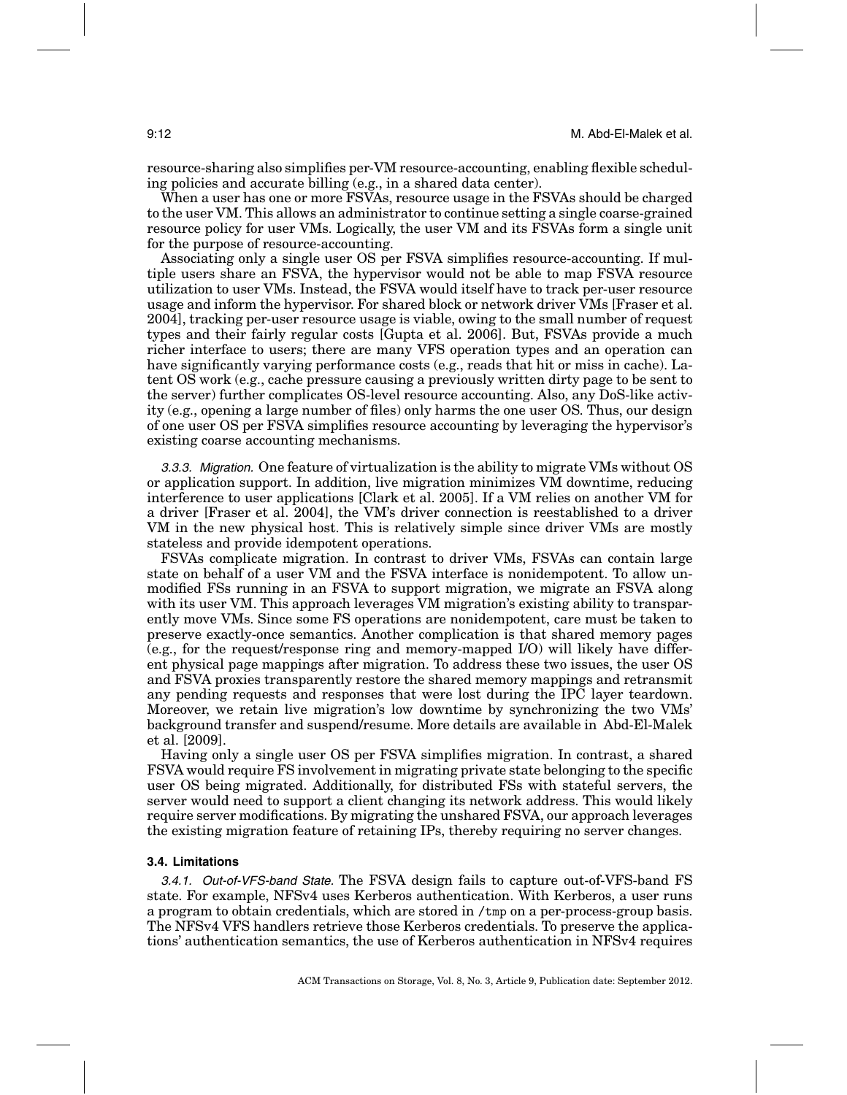resource-sharing also simplifies per-VM resource-accounting, enabling flexible scheduling policies and accurate billing (e.g., in a shared data center).

When a user has one or more FSVAs, resource usage in the FSVAs should be charged to the user VM. This allows an administrator to continue setting a single coarse-grained resource policy for user VMs. Logically, the user VM and its FSVAs form a single unit for the purpose of resource-accounting.

Associating only a single user OS per FSVA simplifies resource-accounting. If multiple users share an FSVA, the hypervisor would not be able to map FSVA resource utilization to user VMs. Instead, the FSVA would itself have to track per-user resource usage and inform the hypervisor. For shared block or network driver VMs [Fraser et al. 2004], tracking per-user resource usage is viable, owing to the small number of request types and their fairly regular costs [Gupta et al. 2006]. But, FSVAs provide a much richer interface to users; there are many VFS operation types and an operation can have significantly varying performance costs (e.g., reads that hit or miss in cache). Latent OS work (e.g., cache pressure causing a previously written dirty page to be sent to the server) further complicates OS-level resource accounting. Also, any DoS-like activity (e.g., opening a large number of files) only harms the one user OS. Thus, our design of one user OS per FSVA simplifies resource accounting by leveraging the hypervisor's existing coarse accounting mechanisms.

3.3.3. Migration. One feature of virtualization is the ability to migrate VMs without OS or application support. In addition, live migration minimizes VM downtime, reducing interference to user applications [Clark et al. 2005]. If a VM relies on another VM for a driver [Fraser et al. 2004], the VM's driver connection is reestablished to a driver VM in the new physical host. This is relatively simple since driver VMs are mostly stateless and provide idempotent operations.

FSVAs complicate migration. In contrast to driver VMs, FSVAs can contain large state on behalf of a user VM and the FSVA interface is nonidempotent. To allow unmodified FSs running in an FSVA to support migration, we migrate an FSVA along with its user VM. This approach leverages VM migration's existing ability to transparently move VMs. Since some FS operations are nonidempotent, care must be taken to preserve exactly-once semantics. Another complication is that shared memory pages (e.g., for the request/response ring and memory-mapped I/O) will likely have different physical page mappings after migration. To address these two issues, the user OS and FSVA proxies transparently restore the shared memory mappings and retransmit any pending requests and responses that were lost during the IPC layer teardown. Moreover, we retain live migration's low downtime by synchronizing the two VMs' background transfer and suspend/resume. More details are available in Abd-El-Malek et al. [2009].

Having only a single user OS per FSVA simplifies migration. In contrast, a shared FSVA would require FS involvement in migrating private state belonging to the specific user OS being migrated. Additionally, for distributed FSs with stateful servers, the server would need to support a client changing its network address. This would likely require server modifications. By migrating the unshared FSVA, our approach leverages the existing migration feature of retaining IPs, thereby requiring no server changes.

## **3.4. Limitations**

3.4.1. Out-of-VFS-band State. The FSVA design fails to capture out-of-VFS-band FS state. For example, NFSv4 uses Kerberos authentication. With Kerberos, a user runs a program to obtain credentials, which are stored in /tmp on a per-process-group basis. The NFSv4 VFS handlers retrieve those Kerberos credentials. To preserve the applications' authentication semantics, the use of Kerberos authentication in NFSv4 requires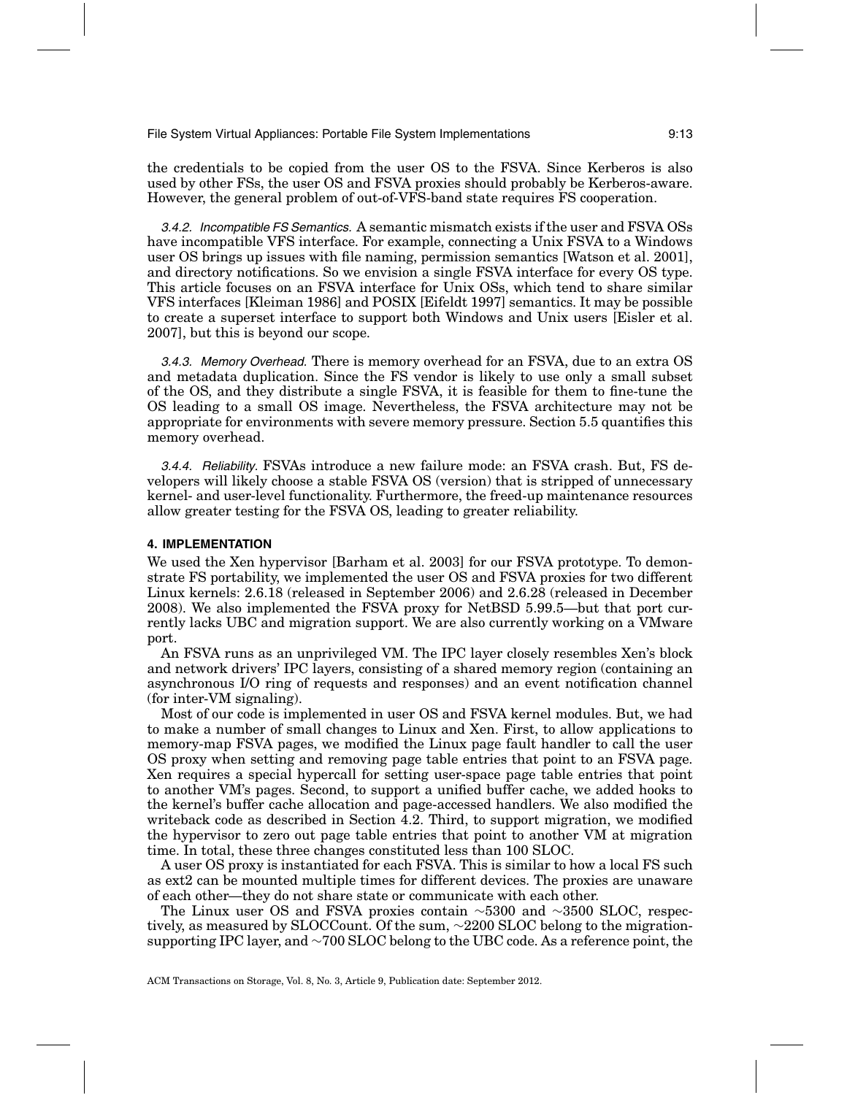the credentials to be copied from the user OS to the FSVA. Since Kerberos is also used by other FSs, the user OS and FSVA proxies should probably be Kerberos-aware. However, the general problem of out-of-VFS-band state requires FS cooperation.

3.4.2. Incompatible FS Semantics. A semantic mismatch exists if the user and FSVA OSs have incompatible VFS interface. For example, connecting a Unix FSVA to a Windows user OS brings up issues with file naming, permission semantics [Watson et al. 2001], and directory notifications. So we envision a single FSVA interface for every OS type. This article focuses on an FSVA interface for Unix OSs, which tend to share similar VFS interfaces [Kleiman 1986] and POSIX [Eifeldt 1997] semantics. It may be possible to create a superset interface to support both Windows and Unix users [Eisler et al. 2007], but this is beyond our scope.

3.4.3. Memory Overhead. There is memory overhead for an FSVA, due to an extra OS and metadata duplication. Since the FS vendor is likely to use only a small subset of the OS, and they distribute a single FSVA, it is feasible for them to fine-tune the OS leading to a small OS image. Nevertheless, the FSVA architecture may not be appropriate for environments with severe memory pressure. Section 5.5 quantifies this memory overhead.

3.4.4. Reliability. FSVAs introduce a new failure mode: an FSVA crash. But, FS developers will likely choose a stable FSVA OS (version) that is stripped of unnecessary kernel- and user-level functionality. Furthermore, the freed-up maintenance resources allow greater testing for the FSVA OS, leading to greater reliability.

## **4. IMPLEMENTATION**

We used the Xen hypervisor [Barham et al. 2003] for our FSVA prototype. To demonstrate FS portability, we implemented the user OS and FSVA proxies for two different Linux kernels: 2.6.18 (released in September 2006) and 2.6.28 (released in December 2008). We also implemented the FSVA proxy for NetBSD 5.99.5—but that port currently lacks UBC and migration support. We are also currently working on a VMware port.

An FSVA runs as an unprivileged VM. The IPC layer closely resembles Xen's block and network drivers' IPC layers, consisting of a shared memory region (containing an asynchronous I/O ring of requests and responses) and an event notification channel (for inter-VM signaling).

Most of our code is implemented in user OS and FSVA kernel modules. But, we had to make a number of small changes to Linux and Xen. First, to allow applications to memory-map FSVA pages, we modified the Linux page fault handler to call the user OS proxy when setting and removing page table entries that point to an FSVA page. Xen requires a special hypercall for setting user-space page table entries that point to another VM's pages. Second, to support a unified buffer cache, we added hooks to the kernel's buffer cache allocation and page-accessed handlers. We also modified the writeback code as described in Section 4.2. Third, to support migration, we modified the hypervisor to zero out page table entries that point to another VM at migration time. In total, these three changes constituted less than 100 SLOC.

A user OS proxy is instantiated for each FSVA. This is similar to how a local FS such as ext2 can be mounted multiple times for different devices. The proxies are unaware of each other—they do not share state or communicate with each other.

The Linux user OS and FSVA proxies contain ∼5300 and ∼3500 SLOC, respectively, as measured by SLOCCount. Of the sum, ∼2200 SLOC belong to the migrationsupporting IPC layer, and ∼700 SLOC belong to the UBC code. As a reference point, the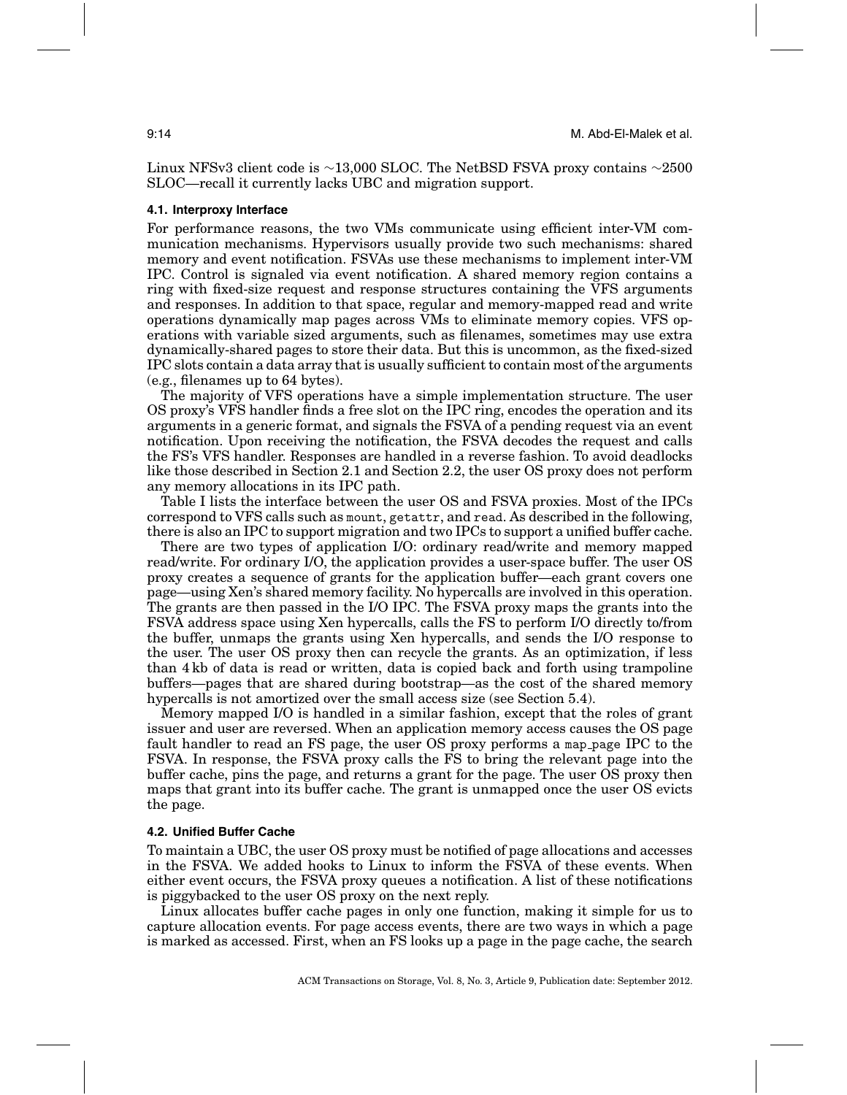Linux NFSv3 client code is ∼13,000 SLOC. The NetBSD FSVA proxy contains ∼2500 SLOC—recall it currently lacks UBC and migration support.

## **4.1. Interproxy Interface**

For performance reasons, the two VMs communicate using efficient inter-VM communication mechanisms. Hypervisors usually provide two such mechanisms: shared memory and event notification. FSVAs use these mechanisms to implement inter-VM IPC. Control is signaled via event notification. A shared memory region contains a ring with fixed-size request and response structures containing the VFS arguments and responses. In addition to that space, regular and memory-mapped read and write operations dynamically map pages across VMs to eliminate memory copies. VFS operations with variable sized arguments, such as filenames, sometimes may use extra dynamically-shared pages to store their data. But this is uncommon, as the fixed-sized IPC slots contain a data array that is usually sufficient to contain most of the arguments (e.g., filenames up to 64 bytes).

The majority of VFS operations have a simple implementation structure. The user OS proxy's VFS handler finds a free slot on the IPC ring, encodes the operation and its arguments in a generic format, and signals the FSVA of a pending request via an event notification. Upon receiving the notification, the FSVA decodes the request and calls the FS's VFS handler. Responses are handled in a reverse fashion. To avoid deadlocks like those described in Section 2.1 and Section 2.2, the user OS proxy does not perform any memory allocations in its IPC path.

Table I lists the interface between the user OS and FSVA proxies. Most of the IPCs correspond to VFS calls such as mount, getattr, and read. As described in the following, there is also an IPC to support migration and two IPCs to support a unified buffer cache.

There are two types of application I/O: ordinary read/write and memory mapped read/write. For ordinary I/O, the application provides a user-space buffer. The user OS proxy creates a sequence of grants for the application buffer—each grant covers one page—using Xen's shared memory facility. No hypercalls are involved in this operation. The grants are then passed in the I/O IPC. The FSVA proxy maps the grants into the FSVA address space using Xen hypercalls, calls the FS to perform I/O directly to/from the buffer, unmaps the grants using Xen hypercalls, and sends the I/O response to the user. The user OS proxy then can recycle the grants. As an optimization, if less than 4 kb of data is read or written, data is copied back and forth using trampoline buffers—pages that are shared during bootstrap—as the cost of the shared memory hypercalls is not amortized over the small access size (see Section 5.4).

Memory mapped I/O is handled in a similar fashion, except that the roles of grant issuer and user are reversed. When an application memory access causes the OS page fault handler to read an FS page, the user OS proxy performs a map page IPC to the FSVA. In response, the FSVA proxy calls the FS to bring the relevant page into the buffer cache, pins the page, and returns a grant for the page. The user OS proxy then maps that grant into its buffer cache. The grant is unmapped once the user OS evicts the page.

## **4.2. Unified Buffer Cache**

To maintain a UBC, the user OS proxy must be notified of page allocations and accesses in the FSVA. We added hooks to Linux to inform the FSVA of these events. When either event occurs, the FSVA proxy queues a notification. A list of these notifications is piggybacked to the user OS proxy on the next reply.

Linux allocates buffer cache pages in only one function, making it simple for us to capture allocation events. For page access events, there are two ways in which a page is marked as accessed. First, when an FS looks up a page in the page cache, the search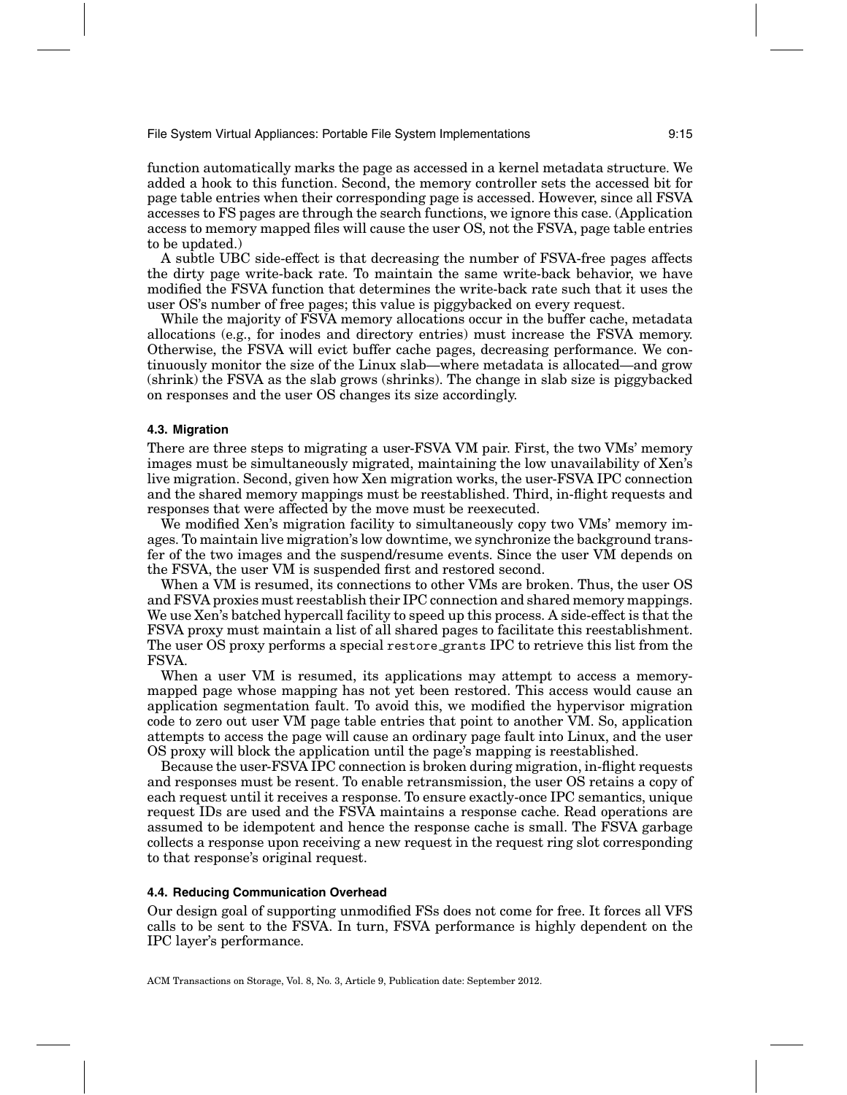function automatically marks the page as accessed in a kernel metadata structure. We added a hook to this function. Second, the memory controller sets the accessed bit for page table entries when their corresponding page is accessed. However, since all FSVA accesses to FS pages are through the search functions, we ignore this case. (Application access to memory mapped files will cause the user OS, not the FSVA, page table entries to be updated.)

A subtle UBC side-effect is that decreasing the number of FSVA-free pages affects the dirty page write-back rate. To maintain the same write-back behavior, we have modified the FSVA function that determines the write-back rate such that it uses the user OS's number of free pages; this value is piggybacked on every request.

While the majority of FSVA memory allocations occur in the buffer cache, metadata allocations (e.g., for inodes and directory entries) must increase the FSVA memory. Otherwise, the FSVA will evict buffer cache pages, decreasing performance. We continuously monitor the size of the Linux slab—where metadata is allocated—and grow (shrink) the FSVA as the slab grows (shrinks). The change in slab size is piggybacked on responses and the user OS changes its size accordingly.

## **4.3. Migration**

There are three steps to migrating a user-FSVA VM pair. First, the two VMs' memory images must be simultaneously migrated, maintaining the low unavailability of Xen's live migration. Second, given how Xen migration works, the user-FSVA IPC connection and the shared memory mappings must be reestablished. Third, in-flight requests and responses that were affected by the move must be reexecuted.

We modified Xen's migration facility to simultaneously copy two VMs' memory images. To maintain live migration's low downtime, we synchronize the background transfer of the two images and the suspend/resume events. Since the user VM depends on the FSVA, the user VM is suspended first and restored second.

When a VM is resumed, its connections to other VMs are broken. Thus, the user OS and FSVA proxies must reestablish their IPC connection and shared memory mappings. We use Xen's batched hypercall facility to speed up this process. A side-effect is that the FSVA proxy must maintain a list of all shared pages to facilitate this reestablishment. The user OS proxy performs a special restore grants IPC to retrieve this list from the FSVA.

When a user VM is resumed, its applications may attempt to access a memorymapped page whose mapping has not yet been restored. This access would cause an application segmentation fault. To avoid this, we modified the hypervisor migration code to zero out user VM page table entries that point to another VM. So, application attempts to access the page will cause an ordinary page fault into Linux, and the user OS proxy will block the application until the page's mapping is reestablished.

Because the user-FSVA IPC connection is broken during migration, in-flight requests and responses must be resent. To enable retransmission, the user OS retains a copy of each request until it receives a response. To ensure exactly-once IPC semantics, unique request IDs are used and the FSVA maintains a response cache. Read operations are assumed to be idempotent and hence the response cache is small. The FSVA garbage collects a response upon receiving a new request in the request ring slot corresponding to that response's original request.

#### **4.4. Reducing Communication Overhead**

Our design goal of supporting unmodified FSs does not come for free. It forces all VFS calls to be sent to the FSVA. In turn, FSVA performance is highly dependent on the IPC layer's performance.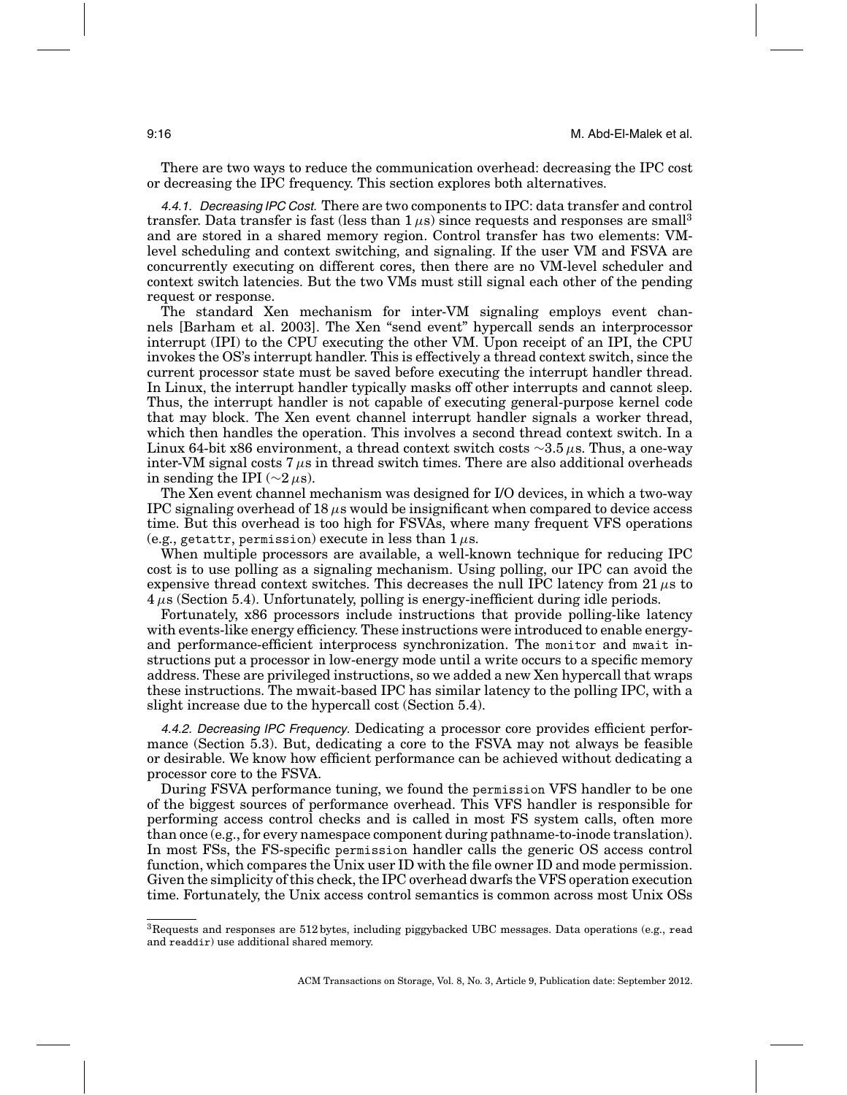There are two ways to reduce the communication overhead: decreasing the IPC cost or decreasing the IPC frequency. This section explores both alternatives.

4.4.1. Decreasing IPC Cost. There are two components to IPC: data transfer and control transfer. Data transfer is fast (less than  $1 \mu s$ ) since requests and responses are small<sup>3</sup> and are stored in a shared memory region. Control transfer has two elements: VMlevel scheduling and context switching, and signaling. If the user VM and FSVA are concurrently executing on different cores, then there are no VM-level scheduler and context switch latencies. But the two VMs must still signal each other of the pending request or response.

The standard Xen mechanism for inter-VM signaling employs event channels [Barham et al. 2003]. The Xen "send event" hypercall sends an interprocessor interrupt (IPI) to the CPU executing the other VM. Upon receipt of an IPI, the CPU invokes the OS's interrupt handler. This is effectively a thread context switch, since the current processor state must be saved before executing the interrupt handler thread. In Linux, the interrupt handler typically masks off other interrupts and cannot sleep. Thus, the interrupt handler is not capable of executing general-purpose kernel code that may block. The Xen event channel interrupt handler signals a worker thread, which then handles the operation. This involves a second thread context switch. In a Linux 64-bit x86 environment, a thread context switch costs  $\sim$ 3.5μs. Thus, a one-way inter-VM signal costs  $7 \mu s$  in thread switch times. There are also additional overheads in sending the IPI ( $\sim$ 2µs).

The Xen event channel mechanism was designed for I/O devices, in which a two-way IPC signaling overhead of 18  $\mu$ s would be insignificant when compared to device access time. But this overhead is too high for FSVAs, where many frequent VFS operations (e.g., getattr, permission) execute in less than  $1 \mu s$ .

When multiple processors are available, a well-known technique for reducing IPC cost is to use polling as a signaling mechanism. Using polling, our IPC can avoid the expensive thread context switches. This decreases the null IPC latency from  $21 \mu s$  to  $4 \mu s$  (Section 5.4). Unfortunately, polling is energy-inefficient during idle periods.

Fortunately, x86 processors include instructions that provide polling-like latency with events-like energy efficiency. These instructions were introduced to enable energyand performance-efficient interprocess synchronization. The monitor and mwait instructions put a processor in low-energy mode until a write occurs to a specific memory address. These are privileged instructions, so we added a new Xen hypercall that wraps these instructions. The mwait-based IPC has similar latency to the polling IPC, with a slight increase due to the hypercall cost (Section 5.4).

4.4.2. Decreasing IPC Frequency. Dedicating a processor core provides efficient performance (Section 5.3). But, dedicating a core to the FSVA may not always be feasible or desirable. We know how efficient performance can be achieved without dedicating a processor core to the FSVA.

During FSVA performance tuning, we found the permission VFS handler to be one of the biggest sources of performance overhead. This VFS handler is responsible for performing access control checks and is called in most FS system calls, often more than once (e.g., for every namespace component during pathname-to-inode translation). In most FSs, the FS-specific permission handler calls the generic OS access control function, which compares the Unix user ID with the file owner ID and mode permission. Given the simplicity of this check, the IPC overhead dwarfs the VFS operation execution time. Fortunately, the Unix access control semantics is common across most Unix OSs

<sup>&</sup>lt;sup>3</sup>Requests and responses are 512 bytes, including piggybacked UBC messages. Data operations (e.g., read and readdir) use additional shared memory.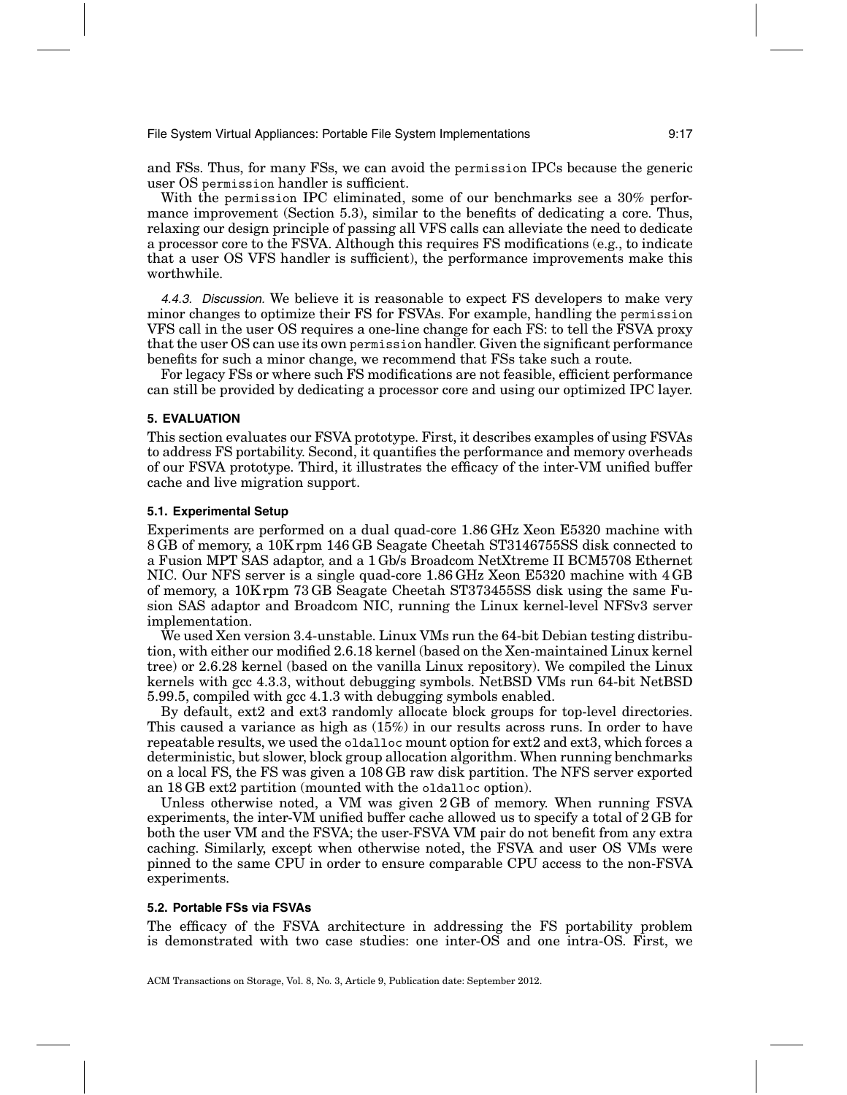and FSs. Thus, for many FSs, we can avoid the permission IPCs because the generic user OS permission handler is sufficient.

With the permission IPC eliminated, some of our benchmarks see a 30% performance improvement (Section 5.3), similar to the benefits of dedicating a core. Thus, relaxing our design principle of passing all VFS calls can alleviate the need to dedicate a processor core to the FSVA. Although this requires FS modifications (e.g., to indicate that a user OS VFS handler is sufficient), the performance improvements make this worthwhile.

4.4.3. Discussion. We believe it is reasonable to expect FS developers to make very minor changes to optimize their FS for FSVAs. For example, handling the permission VFS call in the user OS requires a one-line change for each FS: to tell the FSVA proxy that the user OS can use its own permission handler. Given the significant performance benefits for such a minor change, we recommend that FSs take such a route.

For legacy FSs or where such FS modifications are not feasible, efficient performance can still be provided by dedicating a processor core and using our optimized IPC layer.

## **5. EVALUATION**

This section evaluates our FSVA prototype. First, it describes examples of using FSVAs to address FS portability. Second, it quantifies the performance and memory overheads of our FSVA prototype. Third, it illustrates the efficacy of the inter-VM unified buffer cache and live migration support.

## **5.1. Experimental Setup**

Experiments are performed on a dual quad-core 1.86 GHz Xeon E5320 machine with 8 GB of memory, a 10K rpm 146 GB Seagate Cheetah ST3146755SS disk connected to a Fusion MPT SAS adaptor, and a 1 Gb/s Broadcom NetXtreme II BCM5708 Ethernet NIC. Our NFS server is a single quad-core 1.86 GHz Xeon E5320 machine with 4 GB of memory, a 10K rpm 73 GB Seagate Cheetah ST373455SS disk using the same Fusion SAS adaptor and Broadcom NIC, running the Linux kernel-level NFSv3 server implementation.

We used Xen version 3.4-unstable. Linux VMs run the 64-bit Debian testing distribution, with either our modified 2.6.18 kernel (based on the Xen-maintained Linux kernel tree) or 2.6.28 kernel (based on the vanilla Linux repository). We compiled the Linux kernels with gcc 4.3.3, without debugging symbols. NetBSD VMs run 64-bit NetBSD 5.99.5, compiled with gcc 4.1.3 with debugging symbols enabled.

By default, ext2 and ext3 randomly allocate block groups for top-level directories. This caused a variance as high as (15%) in our results across runs. In order to have repeatable results, we used the oldalloc mount option for ext2 and ext3, which forces a deterministic, but slower, block group allocation algorithm. When running benchmarks on a local FS, the FS was given a 108 GB raw disk partition. The NFS server exported an 18 GB ext2 partition (mounted with the oldalloc option).

Unless otherwise noted, a VM was given 2 GB of memory. When running FSVA experiments, the inter-VM unified buffer cache allowed us to specify a total of 2 GB for both the user VM and the FSVA; the user-FSVA VM pair do not benefit from any extra caching. Similarly, except when otherwise noted, the FSVA and user OS VMs were pinned to the same CPU in order to ensure comparable CPU access to the non-FSVA experiments.

# **5.2. Portable FSs via FSVAs**

The efficacy of the FSVA architecture in addressing the FS portability problem is demonstrated with two case studies: one inter-OS and one intra-OS. First, we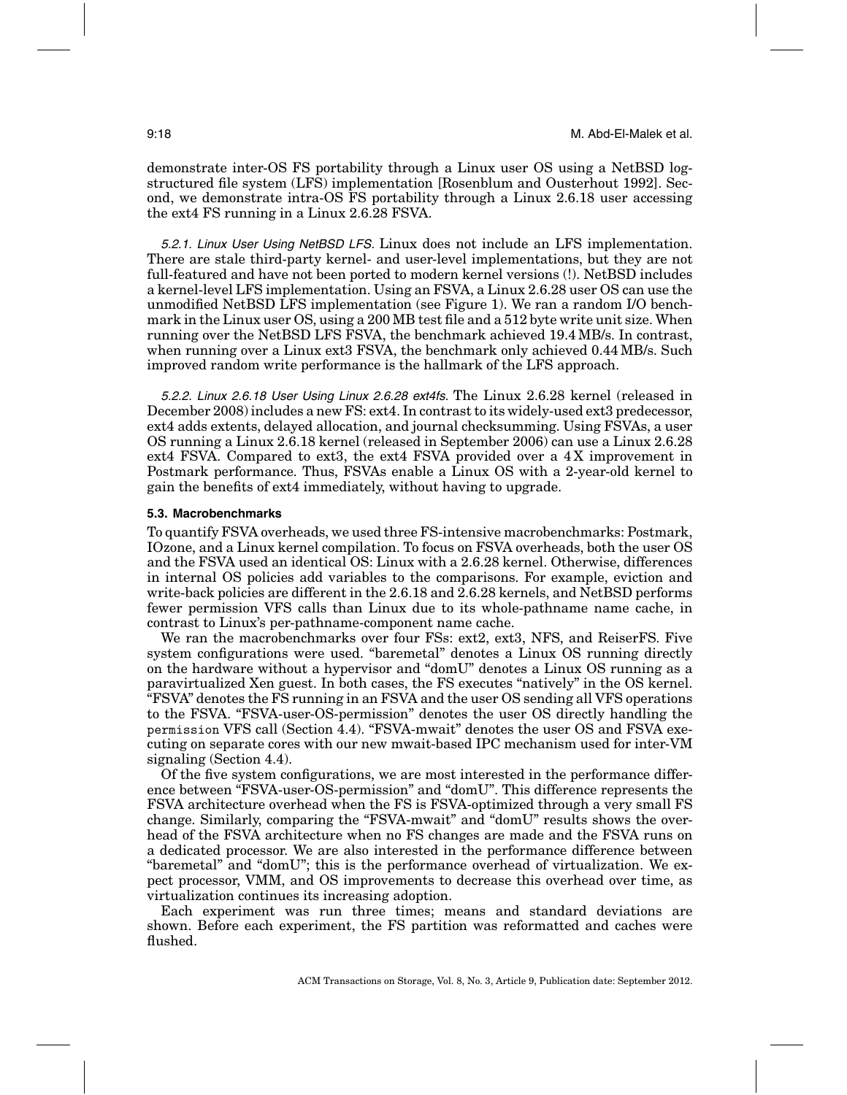demonstrate inter-OS FS portability through a Linux user OS using a NetBSD logstructured file system (LFS) implementation [Rosenblum and Ousterhout 1992]. Second, we demonstrate intra-OS FS portability through a Linux 2.6.18 user accessing the ext4 FS running in a Linux 2.6.28 FSVA.

5.2.1. Linux User Using NetBSD LFS. Linux does not include an LFS implementation. There are stale third-party kernel- and user-level implementations, but they are not full-featured and have not been ported to modern kernel versions (!). NetBSD includes a kernel-level LFS implementation. Using an FSVA, a Linux 2.6.28 user OS can use the unmodified NetBSD LFS implementation (see Figure 1). We ran a random I/O benchmark in the Linux user OS, using a 200 MB test file and a 512 byte write unit size. When running over the NetBSD LFS FSVA, the benchmark achieved 19.4 MB/s. In contrast, when running over a Linux ext3 FSVA, the benchmark only achieved 0.44 MB/s. Such improved random write performance is the hallmark of the LFS approach.

5.2.2. Linux 2.6.18 User Using Linux 2.6.28 ext4fs. The Linux 2.6.28 kernel (released in December 2008) includes a new FS: ext4. In contrast to its widely-used ext3 predecessor, ext4 adds extents, delayed allocation, and journal checksumming. Using FSVAs, a user OS running a Linux 2.6.18 kernel (released in September 2006) can use a Linux 2.6.28 ext4 FSVA. Compared to ext3, the ext4 FSVA provided over a 4 X improvement in Postmark performance. Thus, FSVAs enable a Linux OS with a 2-year-old kernel to gain the benefits of ext4 immediately, without having to upgrade.

## **5.3. Macrobenchmarks**

To quantify FSVA overheads, we used three FS-intensive macrobenchmarks: Postmark, IOzone, and a Linux kernel compilation. To focus on FSVA overheads, both the user OS and the FSVA used an identical OS: Linux with a 2.6.28 kernel. Otherwise, differences in internal OS policies add variables to the comparisons. For example, eviction and write-back policies are different in the 2.6.18 and 2.6.28 kernels, and NetBSD performs fewer permission VFS calls than Linux due to its whole-pathname name cache, in contrast to Linux's per-pathname-component name cache.

We ran the macrobenchmarks over four FSs: ext2, ext3, NFS, and ReiserFS. Five system configurations were used. "baremetal" denotes a Linux OS running directly on the hardware without a hypervisor and "domU" denotes a Linux OS running as a paravirtualized Xen guest. In both cases, the FS executes "natively" in the OS kernel. "FSVA" denotes the FS running in an FSVA and the user OS sending all VFS operations to the FSVA. "FSVA-user-OS-permission" denotes the user OS directly handling the permission VFS call (Section 4.4). "FSVA-mwait" denotes the user OS and FSVA executing on separate cores with our new mwait-based IPC mechanism used for inter-VM signaling (Section 4.4).

Of the five system configurations, we are most interested in the performance difference between "FSVA-user-OS-permission" and "domU". This difference represents the FSVA architecture overhead when the FS is FSVA-optimized through a very small FS change. Similarly, comparing the "FSVA-mwait" and "domU" results shows the overhead of the FSVA architecture when no FS changes are made and the FSVA runs on a dedicated processor. We are also interested in the performance difference between "baremetal" and "domU"; this is the performance overhead of virtualization. We expect processor, VMM, and OS improvements to decrease this overhead over time, as virtualization continues its increasing adoption.

Each experiment was run three times; means and standard deviations are shown. Before each experiment, the FS partition was reformatted and caches were flushed.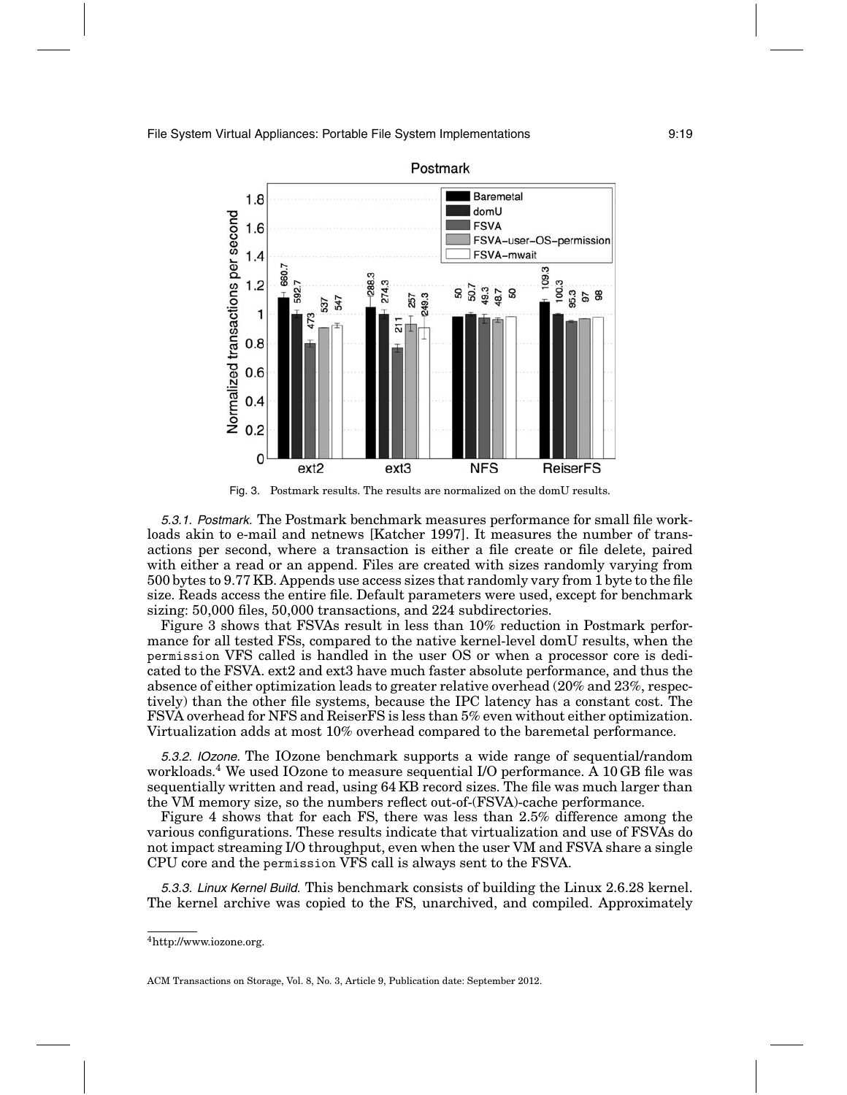

Fig. 3. Postmark results. The results are normalized on the domU results.

5.3.1. Postmark. The Postmark benchmark measures performance for small file workloads akin to e-mail and netnews [Katcher 1997]. It measures the number of transactions per second, where a transaction is either a file create or file delete, paired with either a read or an append. Files are created with sizes randomly varying from 500 bytes to 9.77 KB. Appends use access sizes that randomly vary from 1 byte to the file size. Reads access the entire file. Default parameters were used, except for benchmark sizing: 50,000 files, 50,000 transactions, and 224 subdirectories.

Figure 3 shows that FSVAs result in less than 10% reduction in Postmark performance for all tested FSs, compared to the native kernel-level domU results, when the permission VFS called is handled in the user OS or when a processor core is dedicated to the FSVA. ext2 and ext3 have much faster absolute performance, and thus the absence of either optimization leads to greater relative overhead (20% and 23%, respectively) than the other file systems, because the IPC latency has a constant cost. The FSVA overhead for NFS and ReiserFS is less than 5% even without either optimization. Virtualization adds at most 10% overhead compared to the baremetal performance.

5.3.2. IOzone. The IOzone benchmark supports a wide range of sequential/random workloads.<sup>4</sup> We used IOzone to measure sequential I/O performance. A 10 GB file was sequentially written and read, using 64 KB record sizes. The file was much larger than the VM memory size, so the numbers reflect out-of-(FSVA)-cache performance.

Figure 4 shows that for each FS, there was less than 2.5% difference among the various configurations. These results indicate that virtualization and use of FSVAs do not impact streaming I/O throughput, even when the user VM and FSVA share a single CPU core and the permission VFS call is always sent to the FSVA.

5.3.3. Linux Kernel Build. This benchmark consists of building the Linux 2.6.28 kernel. The kernel archive was copied to the FS, unarchived, and compiled. Approximately

<sup>4</sup>http://www.iozone.org.

ACM Transactions on Storage, Vol. 8, No. 3, Article 9, Publication date: September 2012.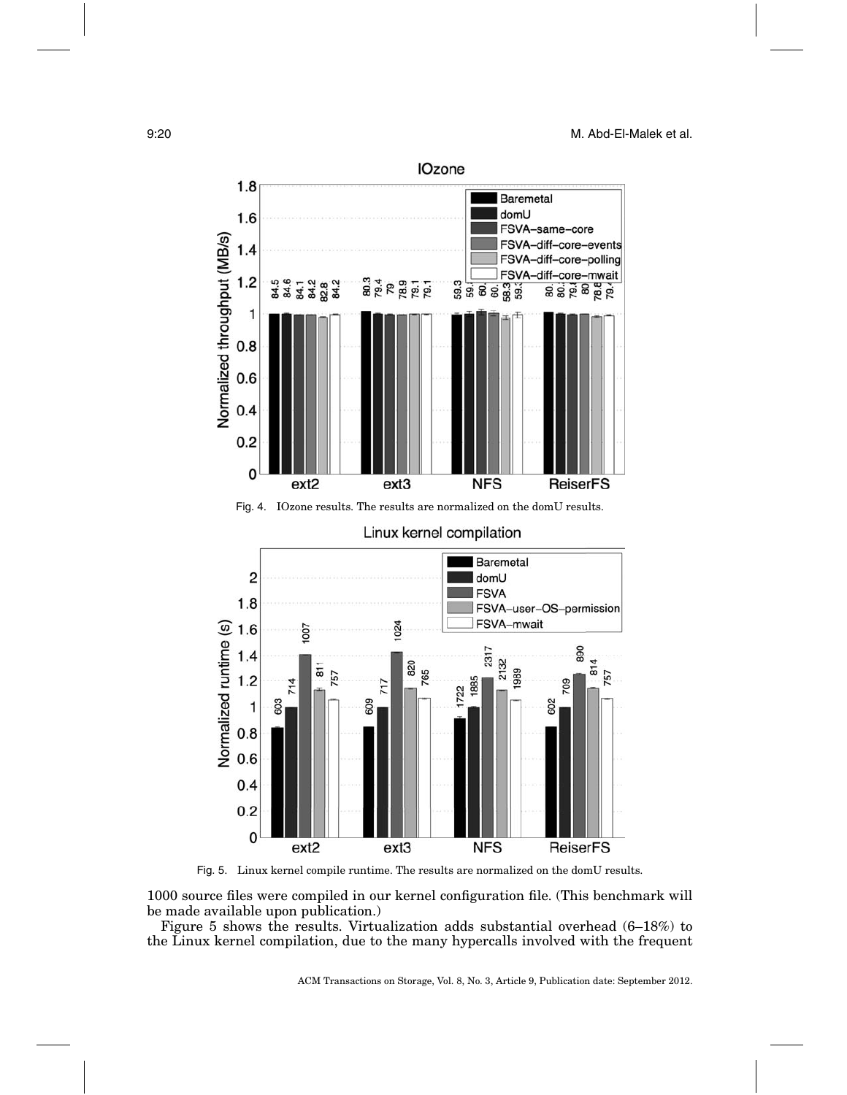

Fig. 5. Linux kernel compile runtime. The results are normalized on the domU results.

1000 source files were compiled in our kernel configuration file. (This benchmark will be made available upon publication.)

Figure 5 shows the results. Virtualization adds substantial overhead (6–18%) to the Linux kernel compilation, due to the many hypercalls involved with the frequent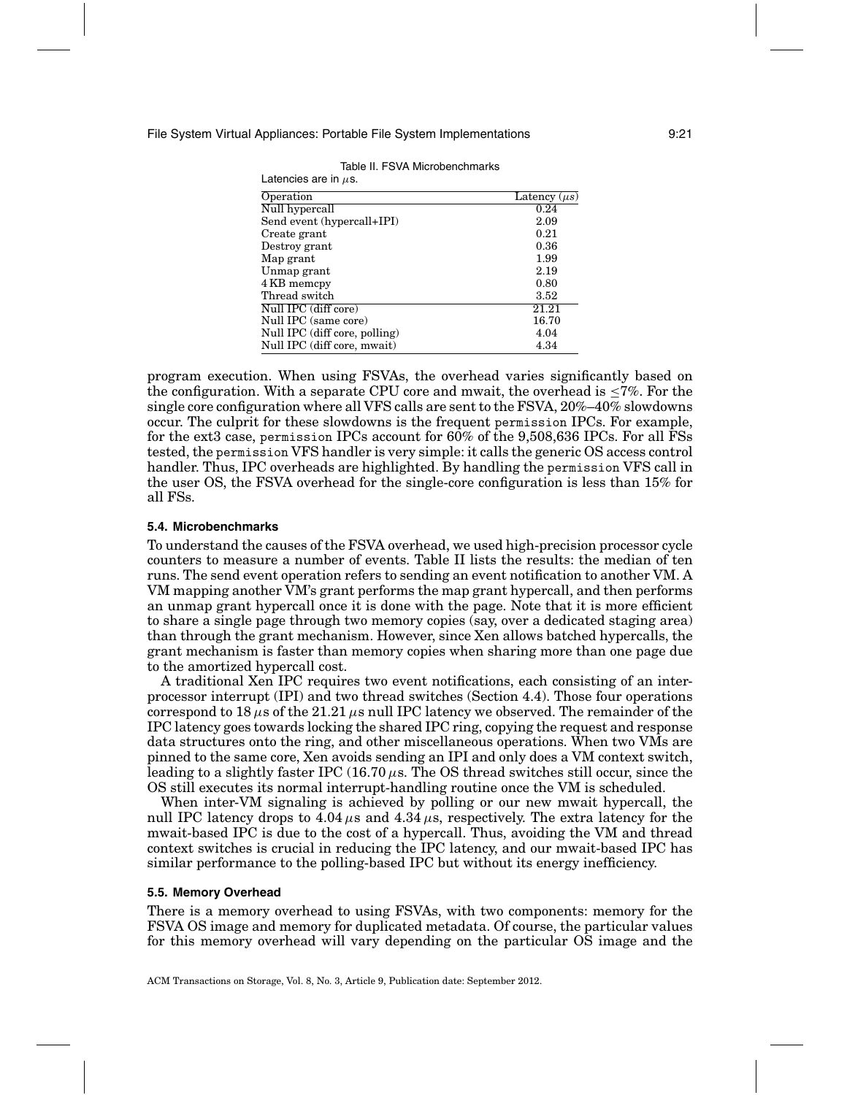Latencies are in  $\mu$ s.

| Operation                     | Latency $(\mu s)$ |
|-------------------------------|-------------------|
| Null hypercall                | 0.24              |
| Send event (hypercall+IPI)    | 2.09              |
| Create grant                  | 0.21              |
| Destroy grant                 | 0.36              |
| Map grant                     | 1.99              |
| Unmap grant                   | 2.19              |
| 4 KB memcpy                   | 0.80              |
| Thread switch                 | 3.52              |
| Null IPC (diff core)          | 21.21             |
| Null IPC (same core)          | 16.70             |
| Null IPC (diff core, polling) | 4.04              |
| Null IPC (diff core, mwait)   | 4.34              |
|                               |                   |

Table II. FSVA Microbenchmarks

program execution. When using FSVAs, the overhead varies significantly based on the configuration. With a separate CPU core and mwait, the overhead is  $\leq 7\%$ . For the single core configuration where all VFS calls are sent to the FSVA, 20%–40% slowdowns occur. The culprit for these slowdowns is the frequent permission IPCs. For example, for the ext3 case, permission IPCs account for 60% of the 9,508,636 IPCs. For all FSs tested, the permission VFS handler is very simple: it calls the generic OS access control handler. Thus, IPC overheads are highlighted. By handling the permission VFS call in the user OS, the FSVA overhead for the single-core configuration is less than 15% for all FSs.

#### **5.4. Microbenchmarks**

To understand the causes of the FSVA overhead, we used high-precision processor cycle counters to measure a number of events. Table II lists the results: the median of ten runs. The send event operation refers to sending an event notification to another VM. A VM mapping another VM's grant performs the map grant hypercall, and then performs an unmap grant hypercall once it is done with the page. Note that it is more efficient to share a single page through two memory copies (say, over a dedicated staging area) than through the grant mechanism. However, since Xen allows batched hypercalls, the grant mechanism is faster than memory copies when sharing more than one page due to the amortized hypercall cost.

A traditional Xen IPC requires two event notifications, each consisting of an interprocessor interrupt (IPI) and two thread switches (Section 4.4). Those four operations correspond to 18  $\mu$ s of the 21.21  $\mu$ s null IPC latency we observed. The remainder of the IPC latency goes towards locking the shared IPC ring, copying the request and response data structures onto the ring, and other miscellaneous operations. When two VMs are pinned to the same core, Xen avoids sending an IPI and only does a VM context switch, leading to a slightly faster IPC  $(16.70 \,\mu s)$ . The OS thread switches still occur, since the OS still executes its normal interrupt-handling routine once the VM is scheduled.

When inter-VM signaling is achieved by polling or our new mwait hypercall, the null IPC latency drops to  $4.04 \mu s$  and  $4.34 \mu s$ , respectively. The extra latency for the mwait-based IPC is due to the cost of a hypercall. Thus, avoiding the VM and thread context switches is crucial in reducing the IPC latency, and our mwait-based IPC has similar performance to the polling-based IPC but without its energy inefficiency.

#### **5.5. Memory Overhead**

There is a memory overhead to using FSVAs, with two components: memory for the FSVA OS image and memory for duplicated metadata. Of course, the particular values for this memory overhead will vary depending on the particular OS image and the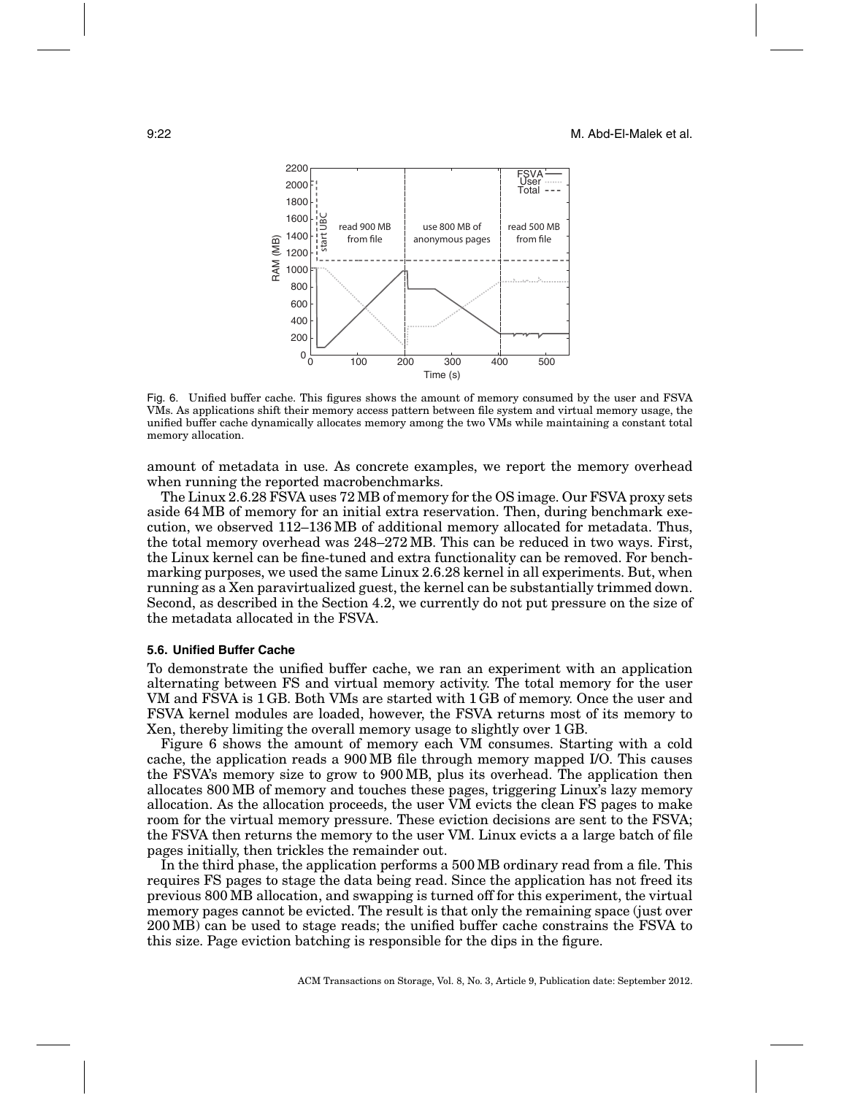

Fig. 6. Unified buffer cache. This figures shows the amount of memory consumed by the user and FSVA VMs. As applications shift their memory access pattern between file system and virtual memory usage, the unified buffer cache dynamically allocates memory among the two VMs while maintaining a constant total memory allocation.

amount of metadata in use. As concrete examples, we report the memory overhead when running the reported macrobenchmarks.

The Linux 2.6.28 FSVA uses 72 MB of memory for the OS image. Our FSVA proxy sets aside 64 MB of memory for an initial extra reservation. Then, during benchmark execution, we observed 112–136 MB of additional memory allocated for metadata. Thus, the total memory overhead was 248–272 MB. This can be reduced in two ways. First, the Linux kernel can be fine-tuned and extra functionality can be removed. For benchmarking purposes, we used the same Linux 2.6.28 kernel in all experiments. But, when running as a Xen paravirtualized guest, the kernel can be substantially trimmed down. Second, as described in the Section 4.2, we currently do not put pressure on the size of the metadata allocated in the FSVA.

## **5.6. Unified Buffer Cache**

To demonstrate the unified buffer cache, we ran an experiment with an application alternating between FS and virtual memory activity. The total memory for the user VM and FSVA is 1 GB. Both VMs are started with 1 GB of memory. Once the user and FSVA kernel modules are loaded, however, the FSVA returns most of its memory to Xen, thereby limiting the overall memory usage to slightly over 1 GB.

Figure 6 shows the amount of memory each VM consumes. Starting with a cold cache, the application reads a 900 MB file through memory mapped I/O. This causes the FSVA's memory size to grow to 900 MB, plus its overhead. The application then allocates 800 MB of memory and touches these pages, triggering Linux's lazy memory allocation. As the allocation proceeds, the user VM evicts the clean FS pages to make room for the virtual memory pressure. These eviction decisions are sent to the FSVA; the FSVA then returns the memory to the user VM. Linux evicts a a large batch of file pages initially, then trickles the remainder out.

In the third phase, the application performs a 500 MB ordinary read from a file. This requires FS pages to stage the data being read. Since the application has not freed its previous 800 MB allocation, and swapping is turned off for this experiment, the virtual memory pages cannot be evicted. The result is that only the remaining space (just over 200 MB) can be used to stage reads; the unified buffer cache constrains the FSVA to this size. Page eviction batching is responsible for the dips in the figure.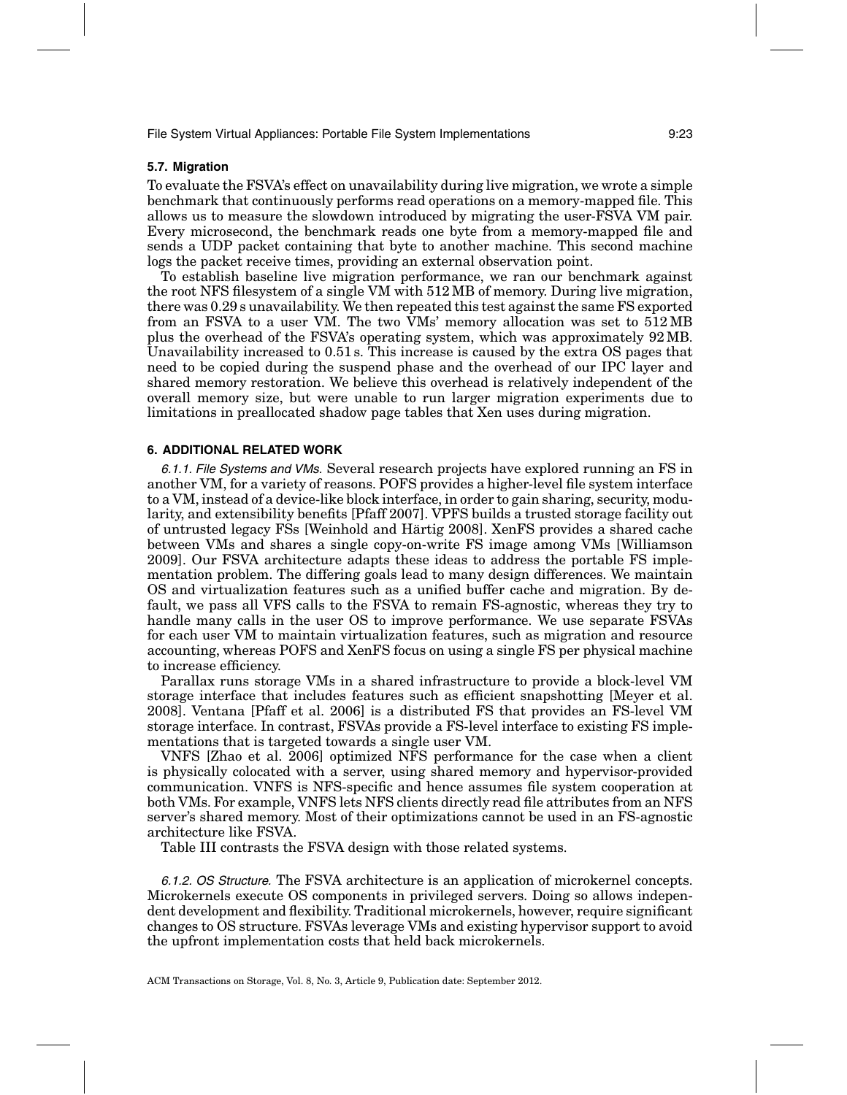#### **5.7. Migration**

To evaluate the FSVA's effect on unavailability during live migration, we wrote a simple benchmark that continuously performs read operations on a memory-mapped file. This allows us to measure the slowdown introduced by migrating the user-FSVA VM pair. Every microsecond, the benchmark reads one byte from a memory-mapped file and sends a UDP packet containing that byte to another machine. This second machine logs the packet receive times, providing an external observation point.

To establish baseline live migration performance, we ran our benchmark against the root NFS filesystem of a single VM with 512 MB of memory. During live migration, there was 0.29 s unavailability. We then repeated this test against the same FS exported from an FSVA to a user VM. The two VMs' memory allocation was set to 512 MB plus the overhead of the FSVA's operating system, which was approximately 92 MB. Unavailability increased to 0.51 s. This increase is caused by the extra OS pages that need to be copied during the suspend phase and the overhead of our IPC layer and shared memory restoration. We believe this overhead is relatively independent of the overall memory size, but were unable to run larger migration experiments due to limitations in preallocated shadow page tables that Xen uses during migration.

# **6. ADDITIONAL RELATED WORK**

6.1.1. File Systems and VMs. Several research projects have explored running an FS in another VM, for a variety of reasons. POFS provides a higher-level file system interface to a VM, instead of a device-like block interface, in order to gain sharing, security, modularity, and extensibility benefits [Pfaff 2007]. VPFS builds a trusted storage facility out of untrusted legacy FSs [Weinhold and Hartig 2008]. XenFS provides a shared cache ¨ between VMs and shares a single copy-on-write FS image among VMs [Williamson 2009]. Our FSVA architecture adapts these ideas to address the portable FS implementation problem. The differing goals lead to many design differences. We maintain OS and virtualization features such as a unified buffer cache and migration. By default, we pass all VFS calls to the FSVA to remain FS-agnostic, whereas they try to handle many calls in the user OS to improve performance. We use separate FSVAs for each user VM to maintain virtualization features, such as migration and resource accounting, whereas POFS and XenFS focus on using a single FS per physical machine to increase efficiency.

Parallax runs storage VMs in a shared infrastructure to provide a block-level VM storage interface that includes features such as efficient snapshotting [Meyer et al. 2008]. Ventana [Pfaff et al. 2006] is a distributed FS that provides an FS-level VM storage interface. In contrast, FSVAs provide a FS-level interface to existing FS implementations that is targeted towards a single user VM.

VNFS [Zhao et al. 2006] optimized NFS performance for the case when a client is physically colocated with a server, using shared memory and hypervisor-provided communication. VNFS is NFS-specific and hence assumes file system cooperation at both VMs. For example, VNFS lets NFS clients directly read file attributes from an NFS server's shared memory. Most of their optimizations cannot be used in an FS-agnostic architecture like FSVA.

Table III contrasts the FSVA design with those related systems.

6.1.2. OS Structure. The FSVA architecture is an application of microkernel concepts. Microkernels execute OS components in privileged servers. Doing so allows independent development and flexibility. Traditional microkernels, however, require significant changes to OS structure. FSVAs leverage VMs and existing hypervisor support to avoid the upfront implementation costs that held back microkernels.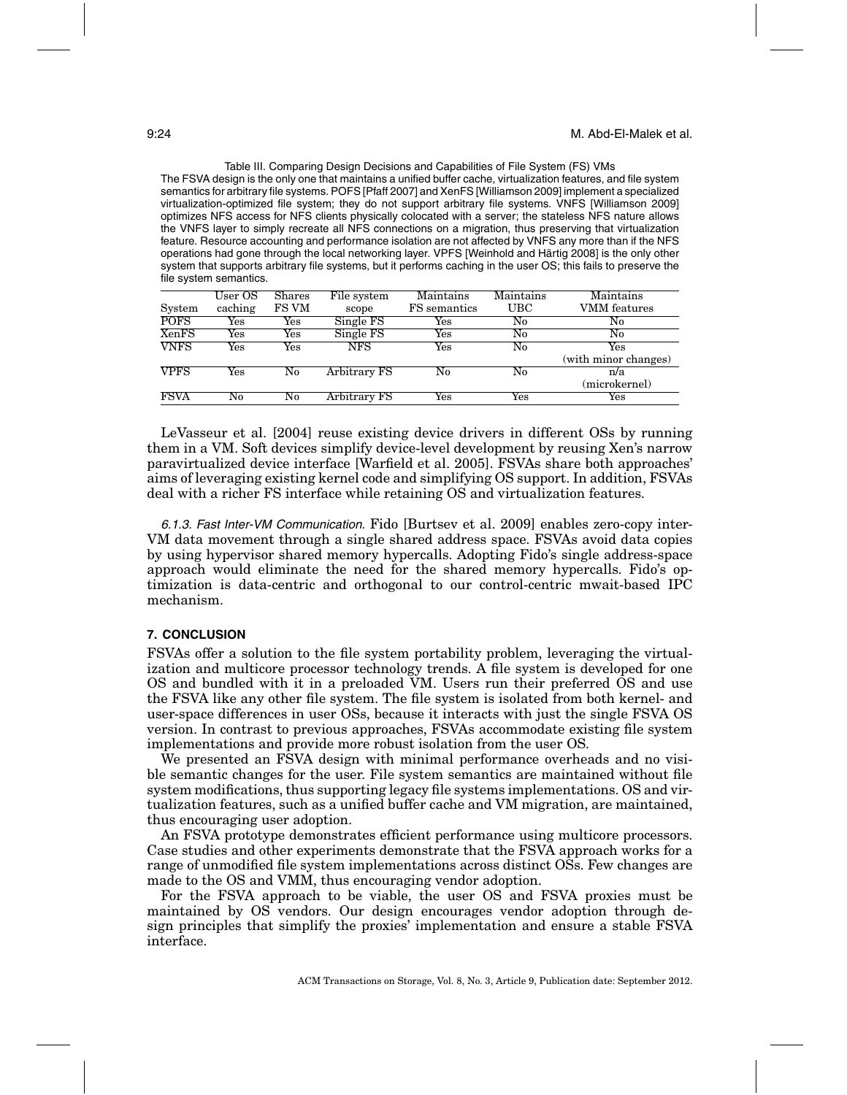Table III. Comparing Design Decisions and Capabilities of File System (FS) VMs The FSVA design is the only one that maintains a unified buffer cache, virtualization features, and file system semantics for arbitrary file systems. POFS [Pfaff 2007] and XenFS [Williamson 2009] implement a specialized virtualization-optimized file system; they do not support arbitrary file systems. VNFS [Williamson 2009] optimizes NFS access for NFS clients physically colocated with a server; the stateless NFS nature allows the VNFS layer to simply recreate all NFS connections on a migration, thus preserving that virtualization feature. Resource accounting and performance isolation are not affected by VNFS any more than if the NFS operations had gone through the local networking layer. VPFS [Weinhold and Hartig 2008] is the only other ¨ system that supports arbitrary file systems, but it performs caching in the user OS; this fails to preserve the file system semantics.

|              | $\rm User~OS$ | Shares               | File system  | Maintains                 | Maintains | Maintains            |
|--------------|---------------|----------------------|--------------|---------------------------|-----------|----------------------|
| System       | caching       | <b>FS VM</b>         | scope        | FS semantics              | UBC       | VMM features         |
| <b>POFS</b>  | Yes           | $\operatorname{Yes}$ | Single FS    | Yes                       | No        | No                   |
| <b>XenFS</b> | Yes           | Yes                  | Single FS    | Yes                       | No        | No                   |
| <b>VNFS</b>  | $\rm Yes$     | $\rm Yes$            | <b>NFS</b>   | $\overline{\mathrm{Yes}}$ | No        | Yes                  |
|              |               |                      |              |                           |           | (with minor changes) |
| VPFS         | Yes           | No                   | Arbitrary FS | No                        | No        | n/a                  |
|              |               |                      |              |                           |           | (microkernel)        |
| <b>FSVA</b>  | No            | No                   | Arbitrary FS | $\overline{\mathrm{Yes}}$ | $\rm Yes$ | Yes                  |

LeVasseur et al. [2004] reuse existing device drivers in different OSs by running them in a VM. Soft devices simplify device-level development by reusing Xen's narrow paravirtualized device interface [Warfield et al. 2005]. FSVAs share both approaches' aims of leveraging existing kernel code and simplifying OS support. In addition, FSVAs deal with a richer FS interface while retaining OS and virtualization features.

6.1.3. Fast Inter-VM Communication. Fido [Burtsev et al. 2009] enables zero-copy inter-VM data movement through a single shared address space. FSVAs avoid data copies by using hypervisor shared memory hypercalls. Adopting Fido's single address-space approach would eliminate the need for the shared memory hypercalls. Fido's optimization is data-centric and orthogonal to our control-centric mwait-based IPC mechanism.

# **7. CONCLUSION**

FSVAs offer a solution to the file system portability problem, leveraging the virtualization and multicore processor technology trends. A file system is developed for one OS and bundled with it in a preloaded VM. Users run their preferred OS and use the FSVA like any other file system. The file system is isolated from both kernel- and user-space differences in user OSs, because it interacts with just the single FSVA OS version. In contrast to previous approaches, FSVAs accommodate existing file system implementations and provide more robust isolation from the user OS.

We presented an FSVA design with minimal performance overheads and no visible semantic changes for the user. File system semantics are maintained without file system modifications, thus supporting legacy file systems implementations. OS and virtualization features, such as a unified buffer cache and VM migration, are maintained, thus encouraging user adoption.

An FSVA prototype demonstrates efficient performance using multicore processors. Case studies and other experiments demonstrate that the FSVA approach works for a range of unmodified file system implementations across distinct OSs. Few changes are made to the OS and VMM, thus encouraging vendor adoption.

For the FSVA approach to be viable, the user OS and FSVA proxies must be maintained by OS vendors. Our design encourages vendor adoption through design principles that simplify the proxies' implementation and ensure a stable FSVA interface.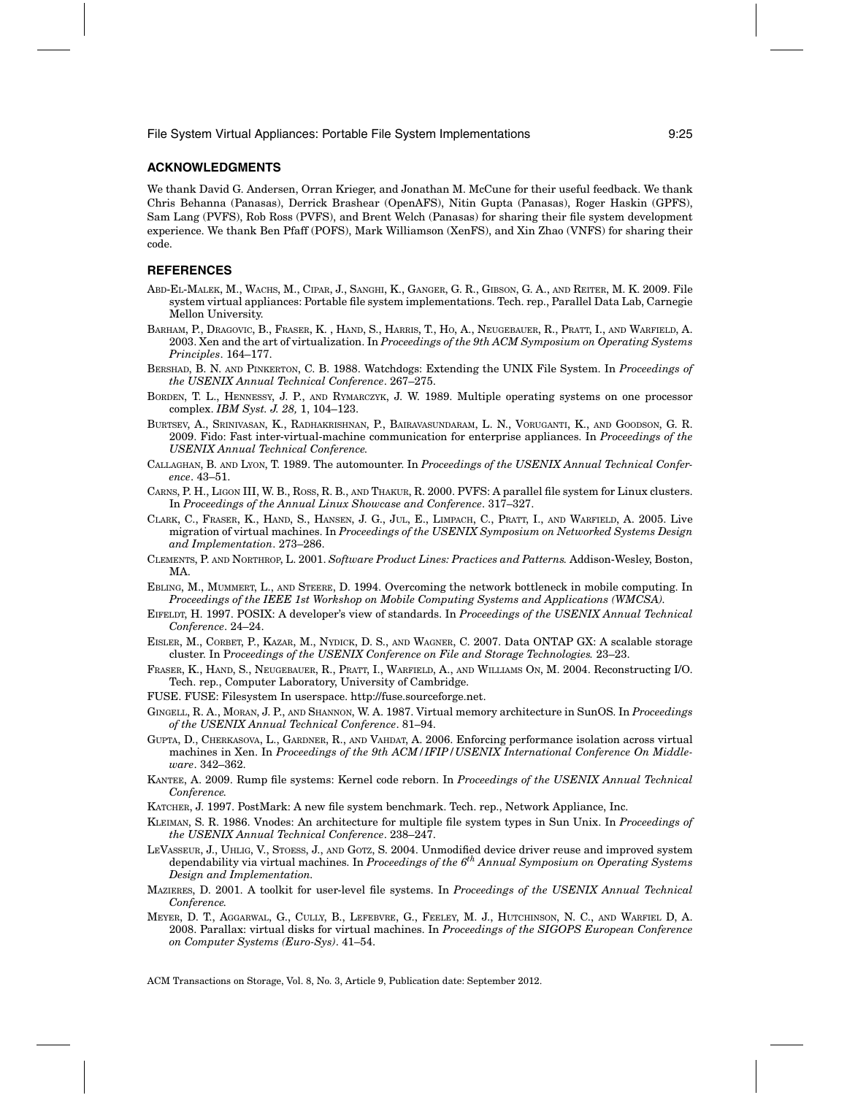# **ACKNOWLEDGMENTS**

We thank David G. Andersen, Orran Krieger, and Jonathan M. McCune for their useful feedback. We thank Chris Behanna (Panasas), Derrick Brashear (OpenAFS), Nitin Gupta (Panasas), Roger Haskin (GPFS), Sam Lang (PVFS), Rob Ross (PVFS), and Brent Welch (Panasas) for sharing their file system development experience. We thank Ben Pfaff (POFS), Mark Williamson (XenFS), and Xin Zhao (VNFS) for sharing their code.

#### **REFERENCES**

- ABD-EL-MALEK, M., WACHS, M., CIPAR, J., SANGHI, K., GANGER, G. R., GIBSON, G. A., AND REITER, M. K. 2009. File system virtual appliances: Portable file system implementations. Tech. rep., Parallel Data Lab, Carnegie Mellon University.
- BARHAM, P., DRAGOVIC, B., FRASER, K. , HAND, S., HARRIS, T., HO, A., NEUGEBAUER, R., PRATT, I., AND WARFIELD, A. 2003. Xen and the art of virtualization. In *Proceedings of the 9th ACM Symposium on Operating Systems Principles*. 164–177.
- BERSHAD, B. N. AND PINKERTON, C. B. 1988. Watchdogs: Extending the UNIX File System. In *Proceedings of the USENIX Annual Technical Conference*. 267–275.
- BORDEN, T. L., HENNESSY, J. P., AND RYMARCZYK, J. W. 1989. Multiple operating systems on one processor complex. *IBM Syst. J. 28,* 1, 104–123.
- BURTSEV, A., SRINIVASAN, K., RADHAKRISHNAN, P., BAIRAVASUNDARAM, L. N., VORUGANTI, K., AND GOODSON, G. R. 2009. Fido: Fast inter-virtual-machine communication for enterprise appliances. In *Proceedings of the USENIX Annual Technical Conference.*
- CALLAGHAN, B. AND LYON, T. 1989. The automounter. In *Proceedings of the USENIX Annual Technical Conference*. 43–51.
- CARNS, P. H., LIGON III, W. B., ROSS, R. B., AND THAKUR, R. 2000. PVFS: A parallel file system for Linux clusters. In *Proceedings of the Annual Linux Showcase and Conference*. 317–327.
- CLARK, C., FRASER, K., HAND, S., HANSEN, J. G., JUL, E., LIMPACH, C., PRATT, I., AND WARFIELD, A. 2005. Live migration of virtual machines. In *Proceedings of the USENIX Symposium on Networked Systems Design and Implementation*. 273–286.
- CLEMENTS, P. AND NORTHROP, L. 2001. *Software Product Lines: Practices and Patterns.* Addison-Wesley, Boston, MA.
- EBLING, M., MUMMERT, L., AND STEERE, D. 1994. Overcoming the network bottleneck in mobile computing. In *Proceedings of the IEEE 1st Workshop on Mobile Computing Systems and Applications (WMCSA).*
- EIFELDT, H. 1997. POSIX: A developer's view of standards. In *Proceedings of the USENIX Annual Technical Conference*. 24–24.
- EISLER, M., CORBET, P., KAZAR, M., NYDICK, D. S., AND WAGNER, C. 2007. Data ONTAP GX: A scalable storage cluster. In P*roceedings of the USENIX Conference on File and Storage Technologies.* 23–23.
- FRASER, K., HAND, S., NEUGEBAUER, R., PRATT, I., WARFIELD, A., AND WILLIAMS ON, M. 2004. Reconstructing I/O. Tech. rep., Computer Laboratory, University of Cambridge.
- FUSE. FUSE: Filesystem In userspace. http://fuse.sourceforge.net.
- GINGELL, R. A., MORAN, J. P., AND SHANNON, W. A. 1987. Virtual memory architecture in SunOS. In *Proceedings of the USENIX Annual Technical Conference*. 81–94.
- GUPTA, D., CHERKASOVA, L., GARDNER, R., AND VAHDAT, A. 2006. Enforcing performance isolation across virtual machines in Xen. In *Proceedings of the 9th ACM/IFIP/USENIX International Conference On Middleware*. 342–362.
- KANTEE, A. 2009. Rump file systems: Kernel code reborn. In *Proceedings of the USENIX Annual Technical Conference.*
- KATCHER, J. 1997. PostMark: A new file system benchmark. Tech. rep., Network Appliance, Inc.
- KLEIMAN, S. R. 1986. Vnodes: An architecture for multiple file system types in Sun Unix. In *Proceedings of the USENIX Annual Technical Conference*. 238–247.
- LEVASSEUR, J., UHLIG, V., STOESS, J., AND GOTZ, S. 2004. Unmodified device driver reuse and improved system dependability via virtual machines. In *Proceedings of the 6th Annual Symposium on Operating Systems Design and Implementation.*
- MAZIERES, D. 2001. A toolkit for user-level file systems. In *Proceedings of the USENIX Annual Technical Conference.*
- MEYER, D. T., AGGARWAL, G., CULLY, B., LEFEBVRE, G., FEELEY, M. J., HUTCHINSON, N. C., AND WARFIEL D, A. 2008. Parallax: virtual disks for virtual machines. In *Proceedings of the SIGOPS European Conference on Computer Systems (Euro-Sys)*. 41–54.